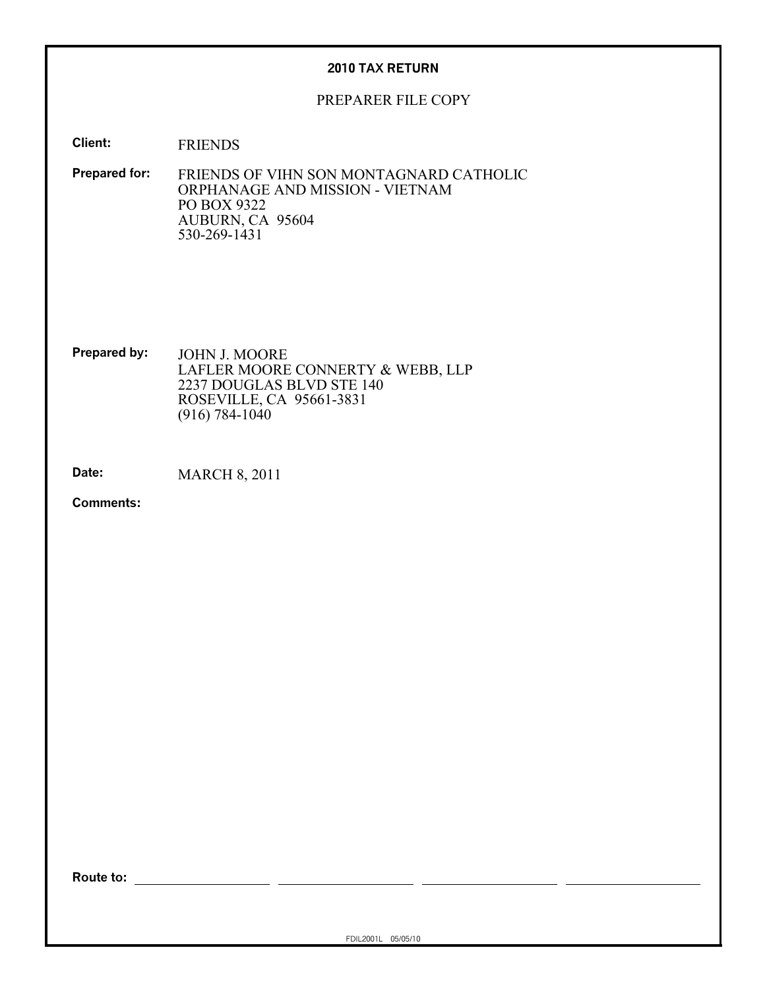#### **2010 TAX RETURN**

#### PREPARER FILE COPY

**Client:** FRIENDS

**Prepared for:** FRIENDS OF VIHN SON MONTAGNARD CATHOLIC ORPHANAGE AND MISSION - VIETNAM PO BOX 9322 AUBURN, CA 95604 530-269-1431

**Prepared by:** JOHN J. MOORE LAFLER MOORE CONNERTY & WEBB, LLP 2237 DOUGLAS BLVD STE 140 ROSEVILLE, CA 95661-3831 (916) 784-1040

**Date:** MARCH 8, 2011

**Comments:**

**Route to:**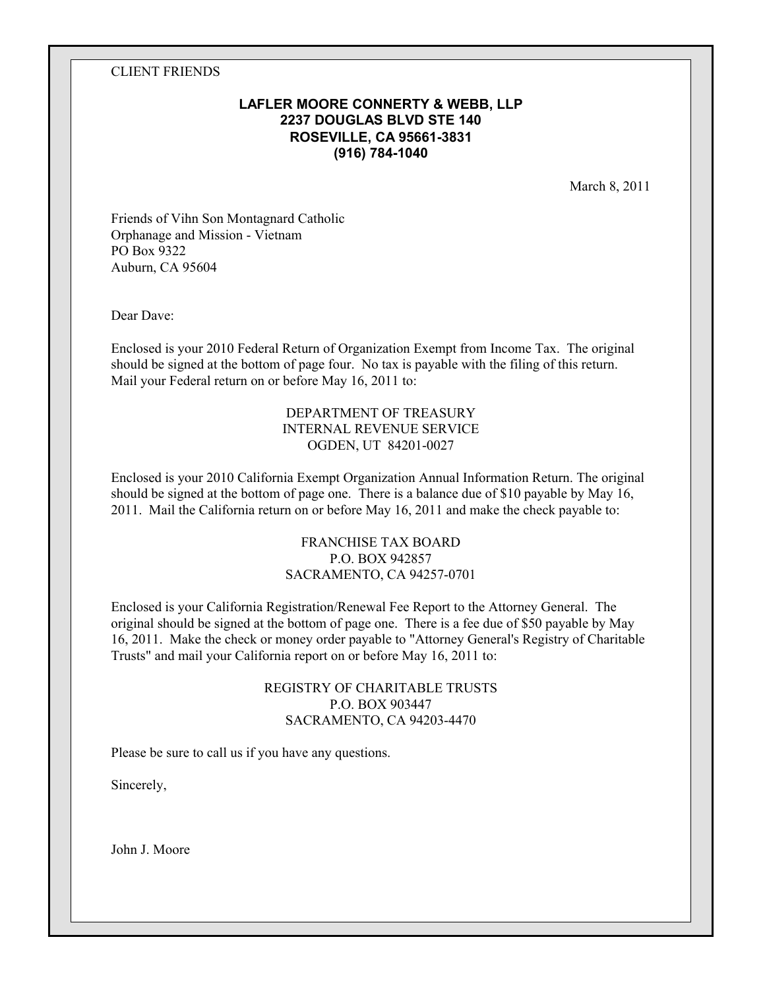#### CLIENT FRIENDS

### **LAFLER MOORE CONNERTY & WEBB, LLP 2237 DOUGLAS BLVD STE 140 ROSEVILLE, CA 95661-3831 (916) 784-1040**

March 8, 2011

Friends of Vihn Son Montagnard Catholic Orphanage and Mission - Vietnam PO Box 9322 Auburn, CA 95604

Dear Dave:

Enclosed is your 2010 Federal Return of Organization Exempt from Income Tax. The original should be signed at the bottom of page four. No tax is payable with the filing of this return. Mail your Federal return on or before May 16, 2011 to:

#### DEPARTMENT OF TREASURY INTERNAL REVENUE SERVICE OGDEN, UT 84201-0027

Enclosed is your 2010 California Exempt Organization Annual Information Return. The original should be signed at the bottom of page one. There is a balance due of \$10 payable by May 16, 2011. Mail the California return on or before May 16, 2011 and make the check payable to:

### FRANCHISE TAX BOARD P.O. BOX 942857 SACRAMENTO, CA 94257-0701

Enclosed is your California Registration/Renewal Fee Report to the Attorney General. The original should be signed at the bottom of page one. There is a fee due of \$50 payable by May 16, 2011. Make the check or money order payable to "Attorney General's Registry of Charitable Trusts" and mail your California report on or before May 16, 2011 to:

### REGISTRY OF CHARITABLE TRUSTS P.O. BOX 903447 SACRAMENTO, CA 94203-4470

Please be sure to call us if you have any questions.

Sincerely,

John J. Moore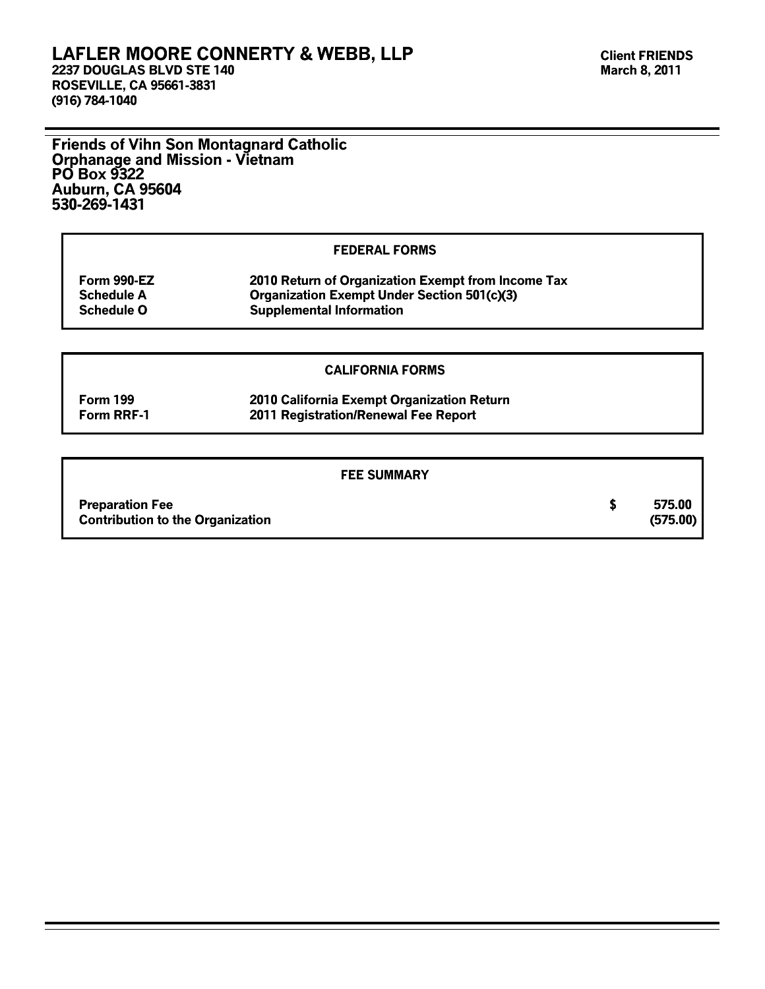### **LAFLER MOORE CONNERTY & WEBB, LLP 2237 DOUGLAS BLVD STE 140**

**ROSEVILLE, CA 95661-3831 (916) 784-1040**

**Friends of Vihn Son Montagnard Catholic Orphanage and Mission - Vietnam PO Box 9322 Auburn, CA 95604 530-269-1431**

#### **FEDERAL FORMS**

| Form 990-EZ       | 2010 Return of Organization Exempt from Income Tax |
|-------------------|----------------------------------------------------|
| <b>Schedule A</b> | <b>Organization Exempt Under Section 501(c)(3)</b> |
| <b>Schedule O</b> | <b>Supplemental Information</b>                    |

#### **CALIFORNIA FORMS**

**Form 199 2010 California Exempt Organization Return Form RRF-1 2011 Registration/Renewal Fee Report**

#### **FEE SUMMARY**

| <b>Preparation Fee</b>                  | 575.00   |
|-----------------------------------------|----------|
| <b>Contribution to the Organization</b> | (575.00) |
|                                         |          |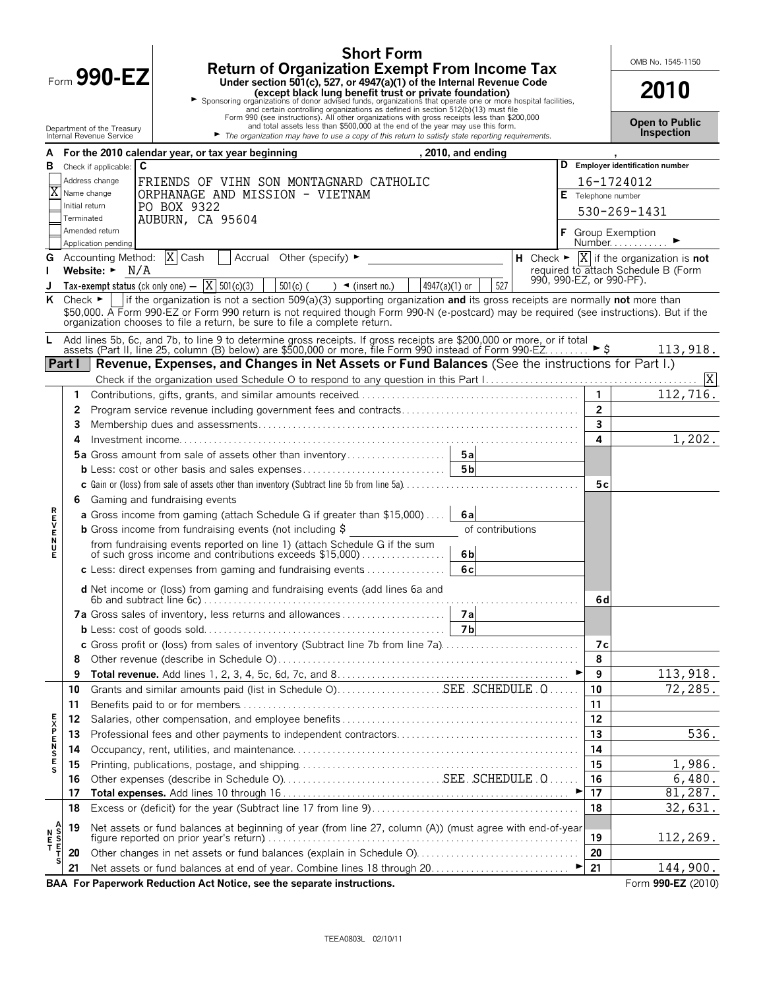|               |                                      |                                                           | <b>Return of Organization Exempt From Income Tax</b>                                                                                                                                                                                                                                                                                                                                                                    | <b>Short Form</b>                           |                    |  |                             | OMB No. 1545-1150                                                                                                   |
|---------------|--------------------------------------|-----------------------------------------------------------|-------------------------------------------------------------------------------------------------------------------------------------------------------------------------------------------------------------------------------------------------------------------------------------------------------------------------------------------------------------------------------------------------------------------------|---------------------------------------------|--------------------|--|-----------------------------|---------------------------------------------------------------------------------------------------------------------|
|               | Form $990 - EZ$                      |                                                           | 2010                                                                                                                                                                                                                                                                                                                                                                                                                    |                                             |                    |  |                             |                                                                                                                     |
|               |                                      | Department of the Treasury<br>Internal Revenue Service    | Except black lung benefit trust or private foundation)<br>Sponsoring organizations of donor advised funds, organizations that operate one or more hospital facilities,<br>Form and certain controlling organizations as defined in<br>and total assets less than \$500,000 at the end of the year may use this form.<br>The organization may have to use a copy of this return to satisfy state reporting requirements. |                                             |                    |  |                             | <b>Open to Public</b><br>Inspection                                                                                 |
| A             |                                      | For the 2010 calendar year, or tax year beginning         |                                                                                                                                                                                                                                                                                                                                                                                                                         |                                             | , 2010, and ending |  |                             |                                                                                                                     |
| в             |                                      | C<br>Check if applicable:                                 |                                                                                                                                                                                                                                                                                                                                                                                                                         |                                             |                    |  |                             | D Employer identification number                                                                                    |
|               |                                      | Address change                                            | FRIENDS OF VIHN SON MONTAGNARD CATHOLIC                                                                                                                                                                                                                                                                                                                                                                                 |                                             |                    |  |                             | 16-1724012                                                                                                          |
|               |                                      | Name change                                               | ORPHANAGE AND MISSION - VIETNAM                                                                                                                                                                                                                                                                                                                                                                                         |                                             |                    |  | Telephone number            |                                                                                                                     |
|               | Initial return<br>Terminated         | PO BOX 9322<br>AUBURN, CA 95604                           |                                                                                                                                                                                                                                                                                                                                                                                                                         |                                             |                    |  |                             | 530-269-1431                                                                                                        |
|               |                                      | Amended return                                            |                                                                                                                                                                                                                                                                                                                                                                                                                         |                                             |                    |  | <b>Group Exemption</b>      |                                                                                                                     |
|               |                                      | Application pending<br>Accounting Method:  X Cash         | Accrual Other (specify) ►                                                                                                                                                                                                                                                                                                                                                                                               |                                             |                    |  |                             | Number                                                                                                              |
| G             |                                      | Website: $\blacktriangleright$ N/A                        |                                                                                                                                                                                                                                                                                                                                                                                                                         |                                             |                    |  |                             | H Check $\blacktriangleright \overline{X}$ if the organization is <b>not</b><br>required to attach Schedule B (Form |
|               |                                      | Tax-exempt status (ck only one) $-\overline{X}$ 501(c)(3) | $501(c)$ (                                                                                                                                                                                                                                                                                                                                                                                                              | 4947(a)(1) or<br>$\rightarrow$ (insert no.) | 527                |  | 990, 990-EZ, or 990-PF).    |                                                                                                                     |
| ĸ             | Check $\blacktriangleright$ $\vdash$ |                                                           | If the organization is not a section 509(a)(3) supporting organization and its gross receipts are normally not more than                                                                                                                                                                                                                                                                                                |                                             |                    |  |                             |                                                                                                                     |
|               |                                      |                                                           | \$50,000. A Form 990-EZ or Form 990 return is not required though Form 990-N (e-postcard) may be required (see instructions). But if the<br>organization chooses to file a return, be sure to file a complete return.                                                                                                                                                                                                   |                                             |                    |  |                             |                                                                                                                     |
| L.            |                                      |                                                           | Add lines 5b, 6c, and 7b, to line 9 to determine gross receipts. If gross receipts are \$200,000 or more, or if total<br>assets (Part II, line 25, column (B) below) are \$500,000 or more, file Form 990 instead of Form 990-EZ                                                                                                                                                                                        |                                             |                    |  |                             | 113,918.                                                                                                            |
| Part I        |                                      |                                                           | Revenue, Expenses, and Changes in Net Assets or Fund Balances (See the instructions for Part I.)                                                                                                                                                                                                                                                                                                                        |                                             |                    |  |                             |                                                                                                                     |
|               |                                      |                                                           |                                                                                                                                                                                                                                                                                                                                                                                                                         |                                             |                    |  |                             | X                                                                                                                   |
|               | 1.                                   |                                                           |                                                                                                                                                                                                                                                                                                                                                                                                                         |                                             |                    |  |                             | 112,716.                                                                                                            |
|               | 2                                    |                                                           |                                                                                                                                                                                                                                                                                                                                                                                                                         |                                             |                    |  | $\overline{2}$              |                                                                                                                     |
|               | 3                                    |                                                           |                                                                                                                                                                                                                                                                                                                                                                                                                         |                                             |                    |  | 3                           |                                                                                                                     |
|               | 4                                    |                                                           |                                                                                                                                                                                                                                                                                                                                                                                                                         |                                             |                    |  | 4                           | 1,202.                                                                                                              |
|               |                                      |                                                           | 5a Gross amount from sale of assets other than inventory                                                                                                                                                                                                                                                                                                                                                                |                                             | 5a                 |  |                             |                                                                                                                     |
|               |                                      |                                                           |                                                                                                                                                                                                                                                                                                                                                                                                                         |                                             | 5 <sub>b</sub>     |  |                             |                                                                                                                     |
|               |                                      |                                                           |                                                                                                                                                                                                                                                                                                                                                                                                                         |                                             |                    |  | 5c                          |                                                                                                                     |
|               | 6                                    | Gaming and fundraising events                             |                                                                                                                                                                                                                                                                                                                                                                                                                         |                                             |                    |  |                             |                                                                                                                     |
|               |                                      |                                                           | <b>a</b> Gross income from gaming (attach Schedule G if greater than \$15,000)                                                                                                                                                                                                                                                                                                                                          |                                             | 6al                |  |                             |                                                                                                                     |
| <b>REVEND</b> |                                      |                                                           | <b>b</b> Gross income from fundraising events (not including $\frac{1}{2}$                                                                                                                                                                                                                                                                                                                                              |                                             | of contributions   |  |                             |                                                                                                                     |
| Е             |                                      |                                                           | from fundraising events reported on line 1) (attach Schedule G if the sum<br>of such gross income and contributions exceeds \$15,000)                                                                                                                                                                                                                                                                                   |                                             | 6 <sub>b</sub>     |  |                             |                                                                                                                     |
|               |                                      |                                                           | c Less: direct expenses from gaming and fundraising events                                                                                                                                                                                                                                                                                                                                                              |                                             | 6c                 |  |                             |                                                                                                                     |
|               |                                      |                                                           | d Net income or (loss) from gaming and fundraising events (add lines 6a and                                                                                                                                                                                                                                                                                                                                             |                                             |                    |  | 6d                          |                                                                                                                     |
|               |                                      |                                                           |                                                                                                                                                                                                                                                                                                                                                                                                                         |                                             |                    |  |                             |                                                                                                                     |
|               |                                      |                                                           |                                                                                                                                                                                                                                                                                                                                                                                                                         |                                             | <b>7b</b>          |  |                             |                                                                                                                     |
|               |                                      |                                                           | c Gross profit or (loss) from sales of inventory (Subtract line 7b from line 7a)                                                                                                                                                                                                                                                                                                                                        |                                             |                    |  | 7c                          |                                                                                                                     |
|               | 8                                    |                                                           |                                                                                                                                                                                                                                                                                                                                                                                                                         |                                             |                    |  | 8                           |                                                                                                                     |
|               | 9                                    |                                                           |                                                                                                                                                                                                                                                                                                                                                                                                                         |                                             |                    |  | 9                           | 113,918.                                                                                                            |
|               | 10                                   |                                                           |                                                                                                                                                                                                                                                                                                                                                                                                                         |                                             |                    |  | 10                          | 72,285.                                                                                                             |
|               | 11                                   |                                                           |                                                                                                                                                                                                                                                                                                                                                                                                                         |                                             |                    |  | 11                          |                                                                                                                     |
|               | 12                                   |                                                           |                                                                                                                                                                                                                                                                                                                                                                                                                         |                                             |                    |  | 12                          |                                                                                                                     |
| <b>EXPEN</b>  | 13                                   |                                                           |                                                                                                                                                                                                                                                                                                                                                                                                                         |                                             |                    |  | 13                          | 536.                                                                                                                |
| S<br>E        | 14                                   |                                                           |                                                                                                                                                                                                                                                                                                                                                                                                                         |                                             |                    |  | 14                          |                                                                                                                     |
|               | 15                                   |                                                           |                                                                                                                                                                                                                                                                                                                                                                                                                         |                                             |                    |  | 15                          | 1,986.                                                                                                              |
|               | 16<br>17                             |                                                           |                                                                                                                                                                                                                                                                                                                                                                                                                         |                                             |                    |  | 16<br>17                    | 6,480.<br>81,287.                                                                                                   |
|               | 18                                   |                                                           |                                                                                                                                                                                                                                                                                                                                                                                                                         |                                             |                    |  | 18                          | 32,631.                                                                                                             |
|               |                                      |                                                           |                                                                                                                                                                                                                                                                                                                                                                                                                         |                                             |                    |  |                             |                                                                                                                     |
| Ν             | 19                                   |                                                           | Net assets or fund balances at beginning of year (from line 27, column (A)) (must agree with end-of-year                                                                                                                                                                                                                                                                                                                |                                             |                    |  | 19                          | 112,269.                                                                                                            |
| 투             | 20                                   |                                                           |                                                                                                                                                                                                                                                                                                                                                                                                                         |                                             |                    |  | 20                          |                                                                                                                     |
|               | 21                                   |                                                           |                                                                                                                                                                                                                                                                                                                                                                                                                         |                                             |                    |  | $\blacktriangleright$<br>21 | 144,900.                                                                                                            |
|               |                                      |                                                           | BAA For Paperwork Reduction Act Notice, see the separate instructions.                                                                                                                                                                                                                                                                                                                                                  |                                             |                    |  |                             | Form 990-EZ (2010)                                                                                                  |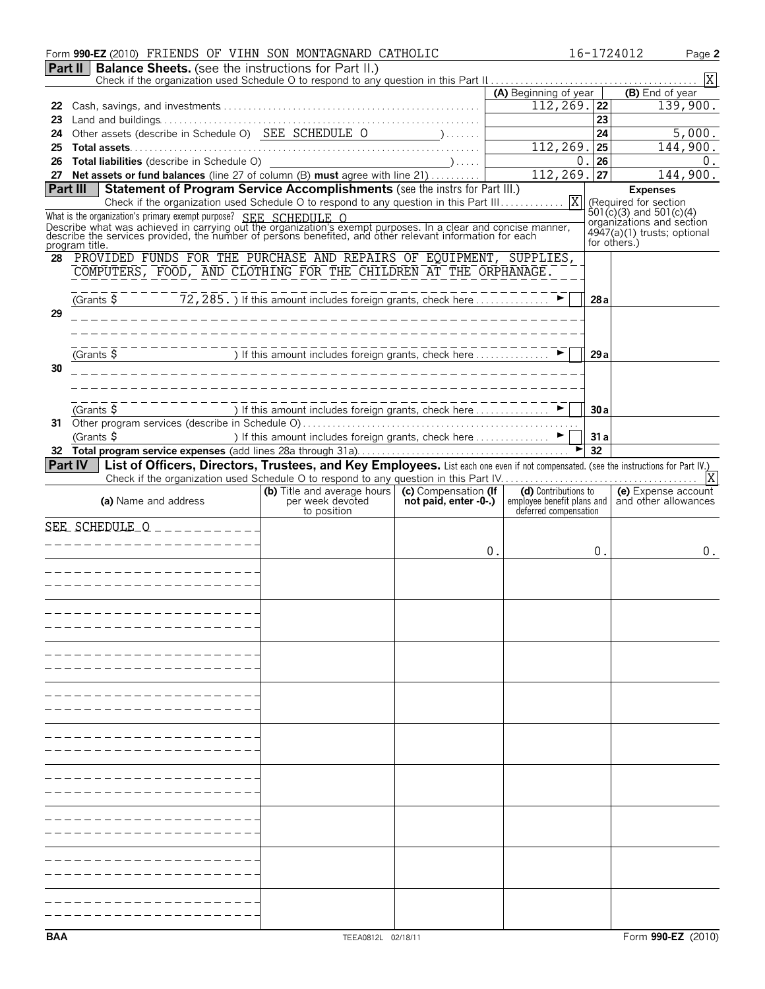|          | Form 990-EZ (2010) FRIENDS OF VIHN SON MONTAGNARD CATHOLIC                                                                                                                                                                                                                                  |                                                                                                  |                                   |                                         |                 | 16-1724012<br>Page 2                                 |
|----------|---------------------------------------------------------------------------------------------------------------------------------------------------------------------------------------------------------------------------------------------------------------------------------------------|--------------------------------------------------------------------------------------------------|-----------------------------------|-----------------------------------------|-----------------|------------------------------------------------------|
|          | <b>Part II   Balance Sheets.</b> (see the instructions for Part II.)                                                                                                                                                                                                                        |                                                                                                  |                                   |                                         |                 |                                                      |
|          |                                                                                                                                                                                                                                                                                             |                                                                                                  | $\overline{X}$<br>(B) End of year |                                         |                 |                                                      |
| 22       |                                                                                                                                                                                                                                                                                             |                                                                                                  |                                   | (A) Beginning of year<br>$112, 269.$ 22 |                 | 139,900.                                             |
| 23       |                                                                                                                                                                                                                                                                                             |                                                                                                  |                                   |                                         | $\overline{23}$ |                                                      |
| 24       |                                                                                                                                                                                                                                                                                             |                                                                                                  |                                   |                                         | 24              | $\overline{5}$ , 000.                                |
| 25       |                                                                                                                                                                                                                                                                                             |                                                                                                  |                                   | 112,269.                                | 25              | 144,900.                                             |
| 26       |                                                                                                                                                                                                                                                                                             |                                                                                                  |                                   | $\Omega$ .                              | 26              | 0.                                                   |
|          | 27 Net assets or fund balances (line 27 of column (B) must agree with line 21)                                                                                                                                                                                                              |                                                                                                  |                                   | 112,269.                                | 27              | 144,900.                                             |
| Part III | Statement of Program Service Accomplishments (see the instrs for Part III.)                                                                                                                                                                                                                 |                                                                                                  |                                   |                                         |                 | <b>Expenses</b>                                      |
|          |                                                                                                                                                                                                                                                                                             |                                                                                                  |                                   |                                         |                 | (Required for section<br>$501(c)(3)$ and $501(c)(4)$ |
|          | What is the organization's primary exempt purpose? SEE SCHEDULE O<br>Describe what was achieved in carrying out the organization's exempt purposes. In a clear and concise manner, describe the services provided, the number of persons benefited, and other relevant information for each |                                                                                                  |                                   |                                         |                 | organizations and section                            |
|          | program title.                                                                                                                                                                                                                                                                              |                                                                                                  |                                   |                                         |                 | $4947(a)(1)$ trusts; optional<br>for others.)        |
| 28       | PROVIDED FUNDS FOR THE PURCHASE AND REPAIRS OF EQUIPMENT, SUPPLIES,                                                                                                                                                                                                                         |                                                                                                  |                                   |                                         |                 |                                                      |
|          | COMPUTERS, FOOD, AND CLOTHING FOR THE CHILDREN AT THE ORPHANAGE.                                                                                                                                                                                                                            |                                                                                                  |                                   |                                         |                 |                                                      |
|          |                                                                                                                                                                                                                                                                                             |                                                                                                  |                                   |                                         |                 |                                                      |
|          | (Grants $\sharp$                                                                                                                                                                                                                                                                            | $\overline{72, 285.}$ If this amount includes foreign grants, check here $\overline{1, 2, 285.}$ |                                   |                                         | 28a             |                                                      |
| 29       |                                                                                                                                                                                                                                                                                             |                                                                                                  |                                   |                                         |                 |                                                      |
|          |                                                                                                                                                                                                                                                                                             |                                                                                                  |                                   |                                         |                 |                                                      |
|          |                                                                                                                                                                                                                                                                                             |                                                                                                  |                                   |                                         | 29a             |                                                      |
| 30       |                                                                                                                                                                                                                                                                                             |                                                                                                  |                                   |                                         |                 |                                                      |
|          |                                                                                                                                                                                                                                                                                             |                                                                                                  |                                   |                                         |                 |                                                      |
|          |                                                                                                                                                                                                                                                                                             |                                                                                                  |                                   |                                         |                 |                                                      |
|          |                                                                                                                                                                                                                                                                                             |                                                                                                  |                                   |                                         | 30a             |                                                      |
|          | (Grants \$                                                                                                                                                                                                                                                                                  |                                                                                                  |                                   |                                         |                 |                                                      |
|          |                                                                                                                                                                                                                                                                                             | ) If this amount includes foreign grants, check here ▶                                           |                                   |                                         | 31a<br>32       |                                                      |
|          | List of Officers, Directors, Trustees, and Key Employees. List each one even if not compensated. (see the instructions for Part IV.)<br><b>Part IV</b>                                                                                                                                      |                                                                                                  |                                   |                                         |                 |                                                      |
|          |                                                                                                                                                                                                                                                                                             |                                                                                                  |                                   |                                         |                 | X                                                    |
|          |                                                                                                                                                                                                                                                                                             | (b) Title and average hours   (c) Compensation (If                                               |                                   | (d) Contributions to                    |                 | (e) Expense account                                  |
|          | (a) Name and address                                                                                                                                                                                                                                                                        | per week devoted<br>to position                                                                  | not paid, enter -0-.)             | deferred compensation                   |                 | employee benefit plans and and other allowances      |
|          | SEE SCHEDULE $Q$ _ _ _ _ _ _ _ _ _ _                                                                                                                                                                                                                                                        |                                                                                                  |                                   |                                         |                 |                                                      |
|          | . _ _ _ _ _ _ _ _ _ _ _ _ _ _ _ _ _                                                                                                                                                                                                                                                         |                                                                                                  |                                   |                                         |                 |                                                      |
|          |                                                                                                                                                                                                                                                                                             |                                                                                                  | 0.                                |                                         | 0.              | 0.                                                   |
|          | _ _ _ _ _ _ _ _ _ _ _ _ _ _ _ _ _ _ _ _                                                                                                                                                                                                                                                     |                                                                                                  |                                   |                                         |                 |                                                      |
|          |                                                                                                                                                                                                                                                                                             |                                                                                                  |                                   |                                         |                 |                                                      |
|          |                                                                                                                                                                                                                                                                                             |                                                                                                  |                                   |                                         |                 |                                                      |
|          |                                                                                                                                                                                                                                                                                             |                                                                                                  |                                   |                                         |                 |                                                      |
|          |                                                                                                                                                                                                                                                                                             |                                                                                                  |                                   |                                         |                 |                                                      |
|          |                                                                                                                                                                                                                                                                                             |                                                                                                  |                                   |                                         |                 |                                                      |
|          |                                                                                                                                                                                                                                                                                             |                                                                                                  |                                   |                                         |                 |                                                      |
|          |                                                                                                                                                                                                                                                                                             |                                                                                                  |                                   |                                         |                 |                                                      |
|          |                                                                                                                                                                                                                                                                                             |                                                                                                  |                                   |                                         |                 |                                                      |
|          |                                                                                                                                                                                                                                                                                             |                                                                                                  |                                   |                                         |                 |                                                      |
|          |                                                                                                                                                                                                                                                                                             |                                                                                                  |                                   |                                         |                 |                                                      |
|          |                                                                                                                                                                                                                                                                                             |                                                                                                  |                                   |                                         |                 |                                                      |
|          |                                                                                                                                                                                                                                                                                             |                                                                                                  |                                   |                                         |                 |                                                      |
|          |                                                                                                                                                                                                                                                                                             |                                                                                                  |                                   |                                         |                 |                                                      |
|          |                                                                                                                                                                                                                                                                                             |                                                                                                  |                                   |                                         |                 |                                                      |
|          |                                                                                                                                                                                                                                                                                             |                                                                                                  |                                   |                                         |                 |                                                      |
|          |                                                                                                                                                                                                                                                                                             |                                                                                                  |                                   |                                         |                 |                                                      |
|          |                                                                                                                                                                                                                                                                                             |                                                                                                  |                                   |                                         |                 |                                                      |
|          |                                                                                                                                                                                                                                                                                             |                                                                                                  |                                   |                                         |                 |                                                      |
|          |                                                                                                                                                                                                                                                                                             |                                                                                                  |                                   |                                         |                 |                                                      |
|          |                                                                                                                                                                                                                                                                                             |                                                                                                  |                                   |                                         |                 |                                                      |
|          |                                                                                                                                                                                                                                                                                             |                                                                                                  |                                   |                                         |                 |                                                      |
|          |                                                                                                                                                                                                                                                                                             |                                                                                                  |                                   |                                         |                 |                                                      |
| BAA      |                                                                                                                                                                                                                                                                                             | TEEA0812L 02/18/11                                                                               |                                   |                                         |                 | Form 990-EZ (2010)                                   |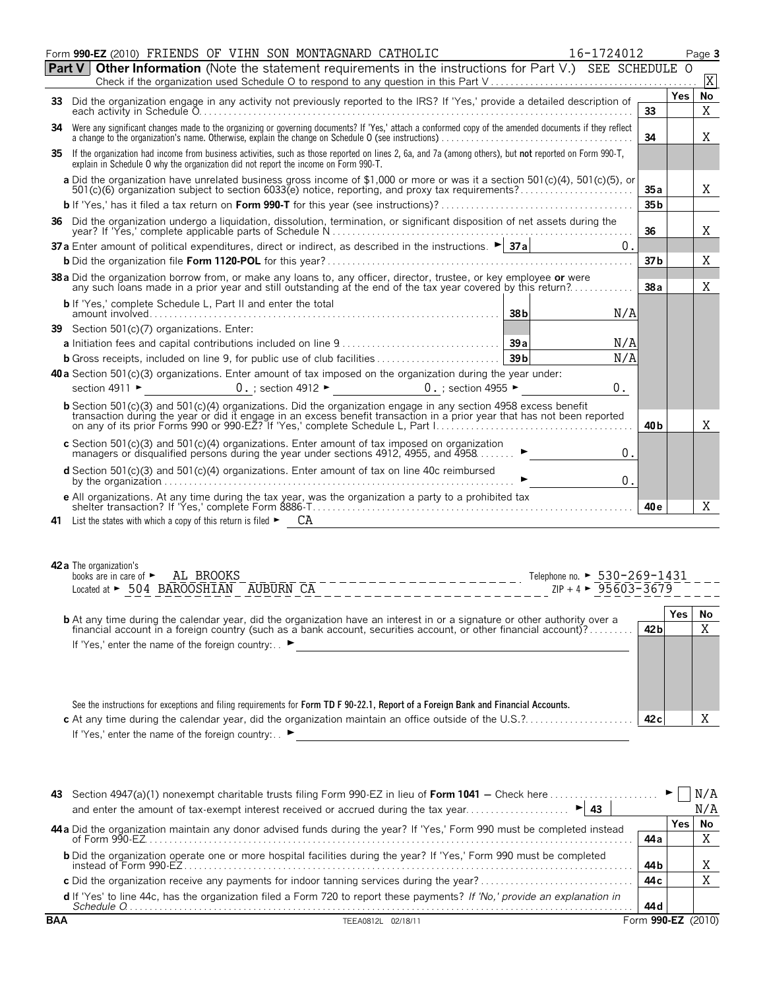|        | Form 990-EZ (2010) FRIENDS OF VIHN SON MONTAGNARD CATHOLIC<br>16-1724012                                                                                                                                                                         |                 |            | Page 3         |
|--------|--------------------------------------------------------------------------------------------------------------------------------------------------------------------------------------------------------------------------------------------------|-----------------|------------|----------------|
| Part V | <b>Other Information</b> (Note the statement requirements in the instructions for Part V.) SEE SCHEDULE O                                                                                                                                        |                 |            |                |
|        |                                                                                                                                                                                                                                                  |                 |            | X              |
|        | 33 Did the organization engage in any activity not previously reported to the IRS? If 'Yes,' provide a detailed description of                                                                                                                   | 33              | <b>Yes</b> | <b>No</b><br>X |
|        | 34 Were any significant changes made to the organizing or governing documents? If 'Yes,' attach a conformed copy of the amended documents if they reflect                                                                                        | 34              |            | X              |
|        | 35 If the organization had income from business activities, such as those reported on lines 2, 6a, and 7a (among others), but not reported on Form 990-T,<br>explain in Schedule O why the organization did not report the income on Form 990-T. |                 |            |                |
|        | a Did the organization have unrelated business gross income of \$1,000 or more or was it a section 501(c)(4), 501(c)(5), or                                                                                                                      | 35a             |            | Χ              |
|        |                                                                                                                                                                                                                                                  | 35 <sub>b</sub> |            |                |
|        | 36 Did the organization undergo a liquidation, dissolution, termination, or significant disposition of net assets during the                                                                                                                     | 36              |            | X              |
|        | 37 a Enter amount of political expenditures, direct or indirect, as described in the instructions. $\blacktriangleright$ 37 a<br>0.                                                                                                              |                 |            |                |
|        |                                                                                                                                                                                                                                                  | 37 <sub>b</sub> |            | Χ              |
|        | 38 a Did the organization borrow from, or make any loans to, any officer, director, trustee, or key employee or were<br>any such loans made in a prior year and still outstanding at the end of the tax year covered by this return?             | 38a             |            | Χ              |
|        | <b>b</b> If 'Yes,' complete Schedule L, Part II and enter the total<br>38 <sub>b</sub><br>N/A<br>amount involved                                                                                                                                 |                 |            |                |
|        | 39 Section 501(c)(7) organizations. Enter:                                                                                                                                                                                                       |                 |            |                |
|        | N/A                                                                                                                                                                                                                                              |                 |            |                |
|        | N/A<br>39 <sub>b</sub>                                                                                                                                                                                                                           |                 |            |                |
|        | 40 a Section 501(c)(3) organizations. Enter amount of tax imposed on the organization during the year under:                                                                                                                                     |                 |            |                |
|        | $0.$ ; section 4912 $\blacktriangleright$<br>0. ; section 4955 $\blacktriangleright$<br>$0$ .<br>section 4911 ►                                                                                                                                  |                 |            |                |
|        | <b>b</b> Section 501(c)(3) and 501(c)(4) organizations. Did the organization engage in any section 4958 excess benefit transaction during the year or did it engage in an excess benefit transaction in a prior year that has not b              |                 |            |                |
|        |                                                                                                                                                                                                                                                  | 40 <sub>b</sub> |            | X              |
|        | c Section 501(c)(3) and 501(c)(4) organizations. Enter amount of tax imposed on organization<br>0.<br>managers or disqualified persons during the year under sections 4912, 4955, and 4958                                                       |                 |            |                |
|        | <b>d</b> Section 501 $(c)(3)$ and 501 $(c)(4)$ organizations. Enter amount of tax on line 40c reimbursed<br>$\overline{0}$ .                                                                                                                     |                 |            |                |
|        |                                                                                                                                                                                                                                                  | 40 <sub>e</sub> |            | X              |
|        |                                                                                                                                                                                                                                                  |                 |            |                |

| <b>42 a</b> The organization's<br>books are in care of $\blacktriangleright$ AL BROOKS<br>Telephone no. ► $530 - 269 - 1431$                                                                                                        |                 |     |    |
|-------------------------------------------------------------------------------------------------------------------------------------------------------------------------------------------------------------------------------------|-----------------|-----|----|
| $ZIP + 4$ $\triangleright$ 95603-3679<br>Located at > 504 BAROOSHIAN AUBURN CA                                                                                                                                                      |                 |     |    |
|                                                                                                                                                                                                                                     |                 | Yes | No |
| <b>b</b> At any time during the calendar year, did the organization have an interest in or a signature or other authority over a financial account in a foreign country (such as a bank account, securities account, or other finan | 42 <sub>b</sub> |     |    |
| If 'Yes,' enter the name of the foreign country: $\blacktriangleright$                                                                                                                                                              |                 |     |    |

| See the instructions for exceptions and filing requirements for Form TD F 90-22.1, Report of a Foreign Bank and Financial Accounts. |     |  |
|-------------------------------------------------------------------------------------------------------------------------------------|-----|--|
|                                                                                                                                     | 42c |  |
| If 'Yes,' enter the name of the foreign country: $\blacktriangleright$                                                              |     |  |

|            | and enter the amount of tax-exempt interest received or accrued during the tax year<br>$\blacktriangleright$ 43                                              |             |     | N/A    |
|------------|--------------------------------------------------------------------------------------------------------------------------------------------------------------|-------------|-----|--------|
|            | 44 a Did the organization maintain any donor advised funds during the year? If 'Yes,' Form 990 must be completed instead                                     |             | Yes | No     |
|            |                                                                                                                                                              | 44 a        |     |        |
|            | b Did the organization operate one or more hospital facilities during the year? If 'Yes,' Form 990 must be completed<br>$\frac{1}{2}$ instead of Form 990-EZ | 44 b        |     |        |
|            |                                                                                                                                                              | 44 c        |     |        |
|            | d If 'Yes' to line 44c, has the organization filed a Form 720 to report these payments? If 'No,' provide an explanation in                                   | 44 d        |     |        |
| <b>BAA</b> | TEEA0812L 02/18/11                                                                                                                                           | Form 990-EZ |     | (2010) |

X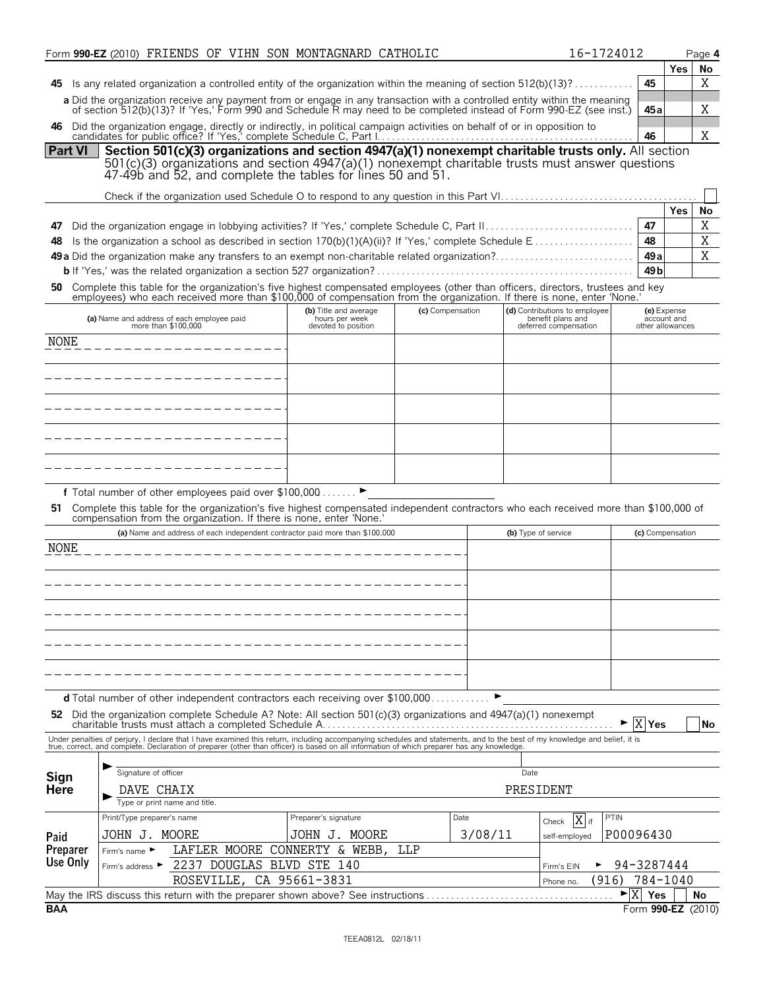|                |                                   | Form 990-EZ (2010) FRIENDS OF VIHN SON MONTAGNARD CATHOLIC                                                                                                                                                                                       |                                       |     |                  |                                            | 16-1724012                  |                                 | Page 4                   |
|----------------|-----------------------------------|--------------------------------------------------------------------------------------------------------------------------------------------------------------------------------------------------------------------------------------------------|---------------------------------------|-----|------------------|--------------------------------------------|-----------------------------|---------------------------------|--------------------------|
|                |                                   |                                                                                                                                                                                                                                                  |                                       |     |                  |                                            |                             |                                 | Yes<br>No                |
|                |                                   | 45 Is any related organization a controlled entity of the organization within the meaning of section $512(b)(13)$ ?                                                                                                                              |                                       |     |                  |                                            |                             | 45                              | Χ                        |
|                |                                   | a Did the organization receive any payment from or engage in any transaction with a controlled entity within the meaning<br>of section 512(b)(13)? If 'Yes,' Form 990 and Schedule R may need to be completed instead of Form 990-EZ (see inst.) |                                       |     |                  |                                            |                             | 45 a                            | Χ                        |
| 46             |                                   | Did the organization engage, directly or indirectly, in political campaign activities on behalf of or in opposition to                                                                                                                           |                                       |     |                  |                                            |                             |                                 |                          |
| <b>Part VI</b> |                                   | Section 501(c)(3) organizations and section 4947(a)(1) nonexempt charitable trusts only. All section                                                                                                                                             |                                       |     |                  |                                            |                             | 46                              | Χ                        |
|                |                                   | $501(c)(3)$ organizations and section $4947(a)(1)$ nonexempt charitable trusts must answer questions                                                                                                                                             |                                       |     |                  |                                            |                             |                                 |                          |
|                |                                   | 47-49b and 52, and complete the tables for lines 50 and 51.                                                                                                                                                                                      |                                       |     |                  |                                            |                             |                                 |                          |
|                |                                   |                                                                                                                                                                                                                                                  |                                       |     |                  |                                            |                             |                                 |                          |
|                |                                   |                                                                                                                                                                                                                                                  |                                       |     |                  |                                            |                             |                                 | Yes<br>No                |
| 47             |                                   |                                                                                                                                                                                                                                                  |                                       |     |                  |                                            |                             | 47<br>48                        | Χ<br>Χ                   |
| 48             |                                   | 49 a Did the organization make any transfers to an exempt non-charitable related organization?                                                                                                                                                   |                                       |     |                  |                                            |                             | 49a                             | X                        |
|                |                                   |                                                                                                                                                                                                                                                  |                                       |     |                  |                                            |                             | 49 <sub>b</sub>                 |                          |
| 50 -           |                                   | Complete this table for the organization's five highest compensated employees (other than officers, directors, trustees and key employees) who each received more than \$100,000 of compensation from the organization. If ther                  |                                       |     |                  |                                            |                             |                                 |                          |
|                |                                   |                                                                                                                                                                                                                                                  | (b) Title and average                 |     | (c) Compensation | (d) Contributions to employee              |                             | (e) Expense                     |                          |
|                |                                   | (a) Name and address of each employee paid<br>more than \$100,000                                                                                                                                                                                | hours per week<br>devoted to position |     |                  | benefit plans and<br>deferred compensation |                             | account and<br>other allowances |                          |
| NONE           |                                   |                                                                                                                                                                                                                                                  |                                       |     |                  |                                            |                             |                                 |                          |
|                |                                   |                                                                                                                                                                                                                                                  |                                       |     |                  |                                            |                             |                                 |                          |
|                |                                   |                                                                                                                                                                                                                                                  |                                       |     |                  |                                            |                             |                                 |                          |
|                |                                   |                                                                                                                                                                                                                                                  |                                       |     |                  |                                            |                             |                                 |                          |
|                |                                   |                                                                                                                                                                                                                                                  |                                       |     |                  |                                            |                             |                                 |                          |
|                |                                   |                                                                                                                                                                                                                                                  |                                       |     |                  |                                            |                             |                                 |                          |
|                |                                   |                                                                                                                                                                                                                                                  |                                       |     |                  |                                            |                             |                                 |                          |
|                |                                   |                                                                                                                                                                                                                                                  |                                       |     |                  |                                            |                             |                                 |                          |
|                |                                   | f Total number of other employees paid over \$100,000 ▶                                                                                                                                                                                          |                                       |     |                  |                                            |                             |                                 |                          |
|                |                                   | 51 Complete this table for the organization's five highest compensated independent contractors who each received more than \$100,000 of                                                                                                          |                                       |     |                  |                                            |                             |                                 |                          |
|                |                                   | compensation from the organization. If there is none, enter 'None.'                                                                                                                                                                              |                                       |     |                  |                                            |                             |                                 |                          |
| NONE           |                                   | (a) Name and address of each independent contractor paid more than \$100,000                                                                                                                                                                     |                                       |     |                  | (b) Type of service                        |                             | (c) Compensation                |                          |
|                |                                   |                                                                                                                                                                                                                                                  |                                       |     |                  |                                            |                             |                                 |                          |
|                |                                   |                                                                                                                                                                                                                                                  |                                       |     |                  |                                            |                             |                                 |                          |
|                |                                   |                                                                                                                                                                                                                                                  |                                       |     |                  |                                            |                             |                                 |                          |
|                |                                   |                                                                                                                                                                                                                                                  |                                       |     |                  |                                            |                             |                                 |                          |
|                |                                   |                                                                                                                                                                                                                                                  |                                       |     |                  |                                            |                             |                                 |                          |
|                |                                   |                                                                                                                                                                                                                                                  |                                       |     |                  |                                            |                             |                                 |                          |
|                |                                   |                                                                                                                                                                                                                                                  |                                       |     |                  |                                            |                             |                                 |                          |
|                |                                   |                                                                                                                                                                                                                                                  |                                       |     |                  |                                            |                             |                                 |                          |
|                |                                   | <b>d</b> Total number of other independent contractors each receiving over \$100,000.                                                                                                                                                            |                                       |     |                  |                                            |                             |                                 |                          |
| 52             |                                   | Did the organization complete Schedule A? Note: All section 501(c)(3) organizations and 4947(a)(1) nonexempt                                                                                                                                     |                                       |     |                  |                                            | X                           | Yes                             | No                       |
|                |                                   | Under penalties of perjury, I declare that I have examined this return, including accompanying schedules and statements, and to the best of my knowledge and belief, it is true, correct, and complete. Declaration of prepare                   |                                       |     |                  |                                            |                             |                                 |                          |
|                |                                   |                                                                                                                                                                                                                                                  |                                       |     |                  |                                            |                             |                                 |                          |
| Sign           | Signature of officer              |                                                                                                                                                                                                                                                  |                                       |     |                  | Date                                       |                             |                                 |                          |
| Here           | DAVE CHAIX                        |                                                                                                                                                                                                                                                  |                                       |     |                  | PRESIDENT                                  |                             |                                 |                          |
|                | Print/Type preparer's name        | Type or print name and title.                                                                                                                                                                                                                    | Preparer's signature                  |     | Date             | X if                                       | PTIN                        |                                 |                          |
| Paid           | JOHN J. MOORE                     |                                                                                                                                                                                                                                                  | JOHN J. MOORE                         |     | 3/08/11          | Check<br>self-employed                     | P00096430                   |                                 |                          |
| Preparer       | Firm's name $\blacktriangleright$ | LAFLER MOORE                                                                                                                                                                                                                                     | CONNERTY & WEBB,                      | LLP |                  |                                            |                             |                                 |                          |
| Use Only       | Firm's address ▶                  | 2237 DOUGLAS BLVD STE 140                                                                                                                                                                                                                        |                                       |     |                  | Firm's EIN                                 | 94-3287444                  |                                 |                          |
|                |                                   | ROSEVILLE,                                                                                                                                                                                                                                       | CA 95661-3831                         |     |                  | Phone no.                                  | (916)                       | 784-1040                        |                          |
| <b>BAA</b>     |                                   | May the IRS discuss this return with the preparer shown above? See instructions                                                                                                                                                                  |                                       |     |                  |                                            | $\blacktriangleright$ X Yes |                                 | No<br>Form 990-EZ (2010) |
|                |                                   |                                                                                                                                                                                                                                                  |                                       |     |                  |                                            |                             |                                 |                          |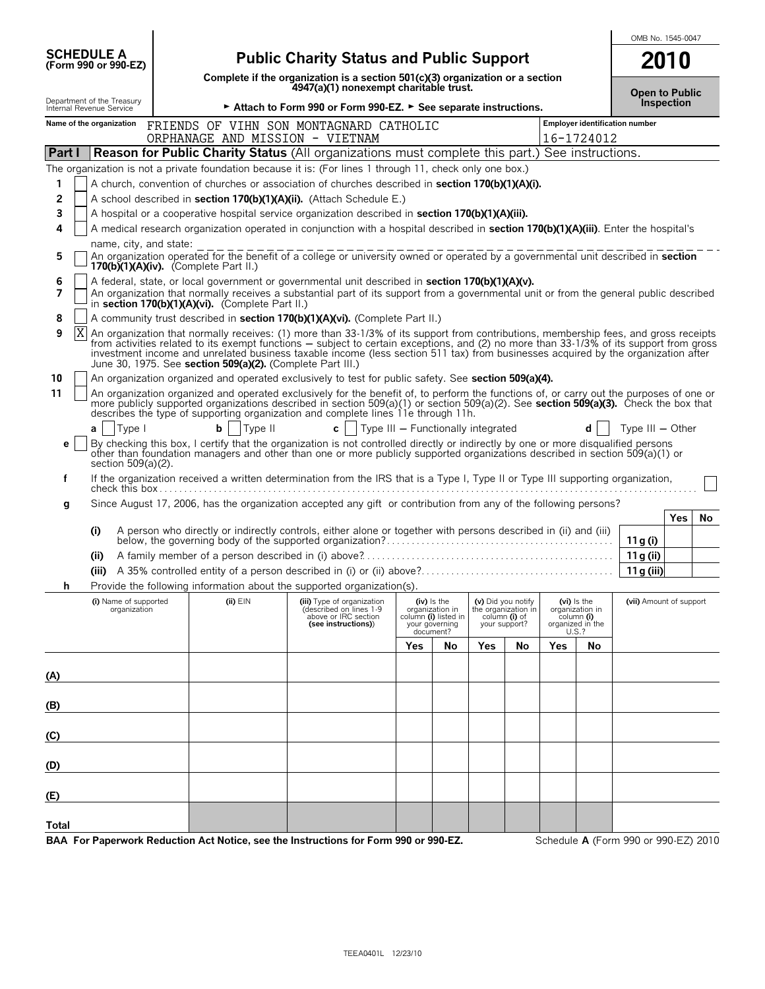|                                                                                                           |                                                                      |              |                                                                                                                                                                                                                                                                              |                                    |                                                          |                                     |                     | OMB No. 1545-0047 |                               |                                |                  |
|-----------------------------------------------------------------------------------------------------------|----------------------------------------------------------------------|--------------|------------------------------------------------------------------------------------------------------------------------------------------------------------------------------------------------------------------------------------------------------------------------------|------------------------------------|----------------------------------------------------------|-------------------------------------|---------------------|-------------------|-------------------------------|--------------------------------|------------------|
| <b>SCHEDULE A</b><br>(Form 990 or 990-EZ)                                                                 | <b>Public Charity Status and Public Support</b>                      |              |                                                                                                                                                                                                                                                                              |                                    |                                                          |                                     |                     |                   | 2010                          |                                |                  |
|                                                                                                           |                                                                      |              | Complete if the organization is a section 501(c)(3) organization or a section<br>4947(a)(1) nonexempt charitable trust.                                                                                                                                                      |                                    |                                                          |                                     |                     |                   |                               | <b>Open to Public</b>          |                  |
| Department of the Treasury<br>Internal Revenue Service                                                    |                                                                      |              | ► Attach to Form 990 or Form 990-EZ. ► See separate instructions.                                                                                                                                                                                                            |                                    |                                                          |                                     |                     |                   |                               | Inspection                     |                  |
| Name of the organization                                                                                  |                                                                      |              | FRIENDS OF VIHN SON MONTAGNARD CATHOLIC<br>ORPHANAGE AND MISSION - VIETNAM                                                                                                                                                                                                   |                                    |                                                          |                                     |                     |                   | 16-1724012                    | Employer identification number |                  |
| Part I                                                                                                    |                                                                      |              | <b>Reason for Public Charity Status</b> (All organizations must complete this part.) See instructions.                                                                                                                                                                       |                                    |                                                          |                                     |                     |                   |                               |                                |                  |
| The organization is not a private foundation because it is: (For lines 1 through 11, check only one box.) |                                                                      |              |                                                                                                                                                                                                                                                                              |                                    |                                                          |                                     |                     |                   |                               |                                |                  |
| 1                                                                                                         |                                                                      |              | A church, convention of churches or association of churches described in section 170(b)(1)(A)(i).                                                                                                                                                                            |                                    |                                                          |                                     |                     |                   |                               |                                |                  |
| 2                                                                                                         | A school described in section 170(b)(1)(A)(ii). (Attach Schedule E.) |              |                                                                                                                                                                                                                                                                              |                                    |                                                          |                                     |                     |                   |                               |                                |                  |
| 3                                                                                                         |                                                                      |              | A hospital or a cooperative hospital service organization described in section 170(b)(1)(A)(iii).                                                                                                                                                                            |                                    |                                                          |                                     |                     |                   |                               |                                |                  |
| 4                                                                                                         |                                                                      |              | A medical research organization operated in conjunction with a hospital described in section 170(b)(1)(A)(iii). Enter the hospital's                                                                                                                                         |                                    |                                                          |                                     |                     |                   |                               |                                |                  |
| name, city, and state:<br>5                                                                               |                                                                      |              |                                                                                                                                                                                                                                                                              |                                    |                                                          |                                     |                     |                   |                               |                                |                  |
|                                                                                                           |                                                                      |              | An organization operated for the benefit of a college or university owned or operated by a governmental unit described in section 170(b)(1)(A)(iv). (Complete Part II.)                                                                                                      |                                    |                                                          |                                     |                     |                   |                               |                                |                  |
| 6<br>7                                                                                                    |                                                                      |              | A federal, state, or local government or governmental unit described in section 170(b)(1)(A)(v).                                                                                                                                                                             |                                    |                                                          |                                     |                     |                   |                               |                                |                  |
|                                                                                                           | in section 170(b)(1)(A)(vi). (Complete Part II.)                     |              | An organization that normally receives a substantial part of its support from a governmental unit or from the general public described                                                                                                                                       |                                    |                                                          |                                     |                     |                   |                               |                                |                  |
| 8                                                                                                         |                                                                      |              | A community trust described in section 170(b)(1)(A)(vi). (Complete Part II.)                                                                                                                                                                                                 |                                    |                                                          |                                     |                     |                   |                               |                                |                  |
| $\boldsymbol{\mathrm{X}}$<br>9                                                                            |                                                                      |              | An organization that normally receives: (1) more than 33-1/3% of its support from contributions, membership fees, and gross receipts                                                                                                                                         |                                    |                                                          |                                     |                     |                   |                               |                                |                  |
|                                                                                                           | June 30, 1975. See section 509(a)(2). (Complete Part III.)           |              | from activities related to its exempt functions - subject to certain exceptions, and (2) no more than 33-1/3% of its support from gross<br>investment income and unrelated business taxable income (less section 511 tax) from businesses acquired by the organization after |                                    |                                                          |                                     |                     |                   |                               |                                |                  |
| 10                                                                                                        |                                                                      |              | An organization organized and operated exclusively to test for public safety. See section 509(a)(4).                                                                                                                                                                         |                                    |                                                          |                                     |                     |                   |                               |                                |                  |
| 11                                                                                                        |                                                                      |              | An organization organized and operated exclusively for the benefit of, to perform the functions of, or carry out the purposes of one or                                                                                                                                      |                                    |                                                          |                                     |                     |                   |                               |                                |                  |
|                                                                                                           |                                                                      |              | more publicly supported organizations described in section 509(a)(1) or section 509(a)(2). See <b>section 509(a)(3).</b> Check the box that describes the type of supporting organization and complete lines 11e through 11h.                                                |                                    |                                                          |                                     |                     |                   |                               |                                |                  |
| Type I<br>a                                                                                               | b                                                                    | Type II      | $c \mid$                                                                                                                                                                                                                                                                     | Type III - Functionally integrated |                                                          |                                     |                     |                   | d                             | Type $III - Other$             |                  |
| е                                                                                                         |                                                                      |              | By checking this box, I certify that the organization is not controlled directly or indirectly by one or more disqualified persons<br>other than foundation managers and other than one or more publicly supported organizations described in section 509(a)(1) or           |                                    |                                                          |                                     |                     |                   |                               |                                |                  |
| section 509(a)(2).                                                                                        |                                                                      |              |                                                                                                                                                                                                                                                                              |                                    |                                                          |                                     |                     |                   |                               |                                |                  |
| f                                                                                                         |                                                                      |              | If the organization received a written determination from the IRS that is a Type I, Type II or Type III supporting organization,                                                                                                                                             |                                    |                                                          |                                     |                     |                   |                               |                                |                  |
| g                                                                                                         |                                                                      |              | Since August 17, 2006, has the organization accepted any gift or contribution from any of the following persons?                                                                                                                                                             |                                    |                                                          |                                     |                     |                   |                               |                                |                  |
| (i)                                                                                                       |                                                                      |              | A person who directly or indirectly controls, either alone or together with persons described in (ii) and (iii)                                                                                                                                                              |                                    |                                                          |                                     |                     |                   |                               |                                | <b>Yes</b><br>No |
|                                                                                                           |                                                                      |              |                                                                                                                                                                                                                                                                              |                                    |                                                          |                                     |                     |                   |                               | 11 g (i)                       |                  |
| (ii)                                                                                                      |                                                                      |              |                                                                                                                                                                                                                                                                              |                                    |                                                          |                                     |                     |                   |                               | 11g (ii)                       |                  |
|                                                                                                           |                                                                      |              |                                                                                                                                                                                                                                                                              |                                    |                                                          |                                     |                     |                   |                               | 11 g (iii)                     |                  |
|                                                                                                           |                                                                      |              | Provide the following information about the supported organization(s).                                                                                                                                                                                                       |                                    |                                                          |                                     |                     |                   |                               |                                |                  |
| (i) Name of supported<br>organization                                                                     |                                                                      | $(ii)$ $EIN$ | (iii) Type of organization<br>described on lines 1-9<br>above or IRC section                                                                                                                                                                                                 |                                    | $(iv)$ is the<br>organization in<br>column (i) listed in | (v) Did you notify<br>column (i) of | the organization in | $(vi)$ is the     | organization in<br>column (i) | (vii) Amount of support        |                  |
|                                                                                                           |                                                                      |              | (see instructions))                                                                                                                                                                                                                                                          |                                    | your governing<br>document?                              | your support?                       |                     | U.S.?             | organized in the              |                                |                  |
|                                                                                                           |                                                                      |              |                                                                                                                                                                                                                                                                              | Yes                                | No                                                       | Yes                                 | No                  | Yes               | No                            |                                |                  |
|                                                                                                           |                                                                      |              |                                                                                                                                                                                                                                                                              |                                    |                                                          |                                     |                     |                   |                               |                                |                  |
| (A)                                                                                                       |                                                                      |              |                                                                                                                                                                                                                                                                              |                                    |                                                          |                                     |                     |                   |                               |                                |                  |
|                                                                                                           |                                                                      |              |                                                                                                                                                                                                                                                                              |                                    |                                                          |                                     |                     |                   |                               |                                |                  |
| (B)                                                                                                       |                                                                      |              |                                                                                                                                                                                                                                                                              |                                    |                                                          |                                     |                     |                   |                               |                                |                  |
| (C)                                                                                                       |                                                                      |              |                                                                                                                                                                                                                                                                              |                                    |                                                          |                                     |                     |                   |                               |                                |                  |
| (D)                                                                                                       |                                                                      |              |                                                                                                                                                                                                                                                                              |                                    |                                                          |                                     |                     |                   |                               |                                |                  |
| (E)                                                                                                       |                                                                      |              |                                                                                                                                                                                                                                                                              |                                    |                                                          |                                     |                     |                   |                               |                                |                  |
|                                                                                                           |                                                                      |              |                                                                                                                                                                                                                                                                              |                                    |                                                          |                                     |                     |                   |                               |                                |                  |
| Total                                                                                                     |                                                                      |              |                                                                                                                                                                                                                                                                              | $\sim$                             | $\sim$ $\sim$ $\sim$ $\sim$                              |                                     |                     |                   |                               |                                |                  |

**BAA For Paperwork Reduction Act Notice, see the Instructions for Form 990 or 990-EZ.** Schedule **A** (Form 990 or 990-EZ) 2010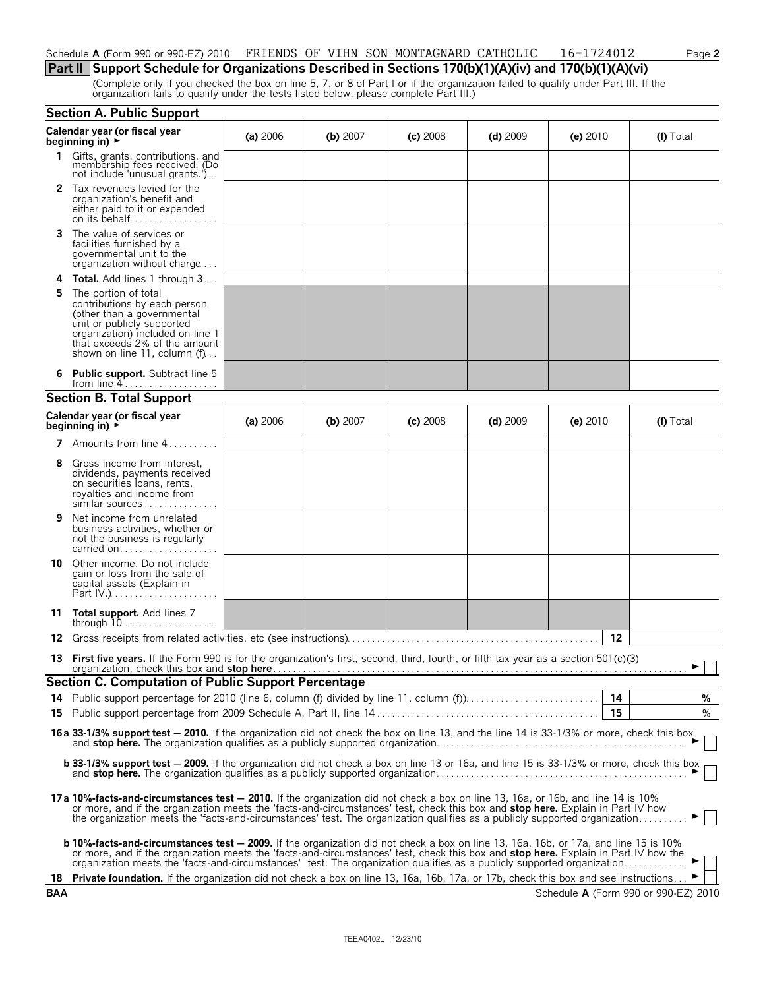#### Schedule **A** (Form 990 or 990-EZ) 2010 FRIENDS OF VIHN SON MONTAGNARD CATHOLIC 16-1724012 Page 2

#### **Part II Support Schedule for Organizations Described in Sections 170(b)(1)(A)(iv) and 170(b)(1)(A)(vi)**

(Complete only if you checked the box on line 5, 7, or 8 of Part I or if the organization failed to qualify under Part III. If the organization fails to qualify under the tests listed below, please complete Part III.)

|     | <b>Section A. Public Support</b>                                                                                                                                                                                                                                                                                                                                                                     |          |            |            |            |            |                                      |  |
|-----|------------------------------------------------------------------------------------------------------------------------------------------------------------------------------------------------------------------------------------------------------------------------------------------------------------------------------------------------------------------------------------------------------|----------|------------|------------|------------|------------|--------------------------------------|--|
|     | Calendar year (or fiscal year<br>beginning in) $\rightarrow$                                                                                                                                                                                                                                                                                                                                         | (a) 2006 | (b) $2007$ | $(c)$ 2008 | (d) $2009$ | (e) $2010$ | (f) Total                            |  |
| 1.  | Gifts, grants, contributions, and<br>membership fees received. (Do<br>not include 'unusual grants.')                                                                                                                                                                                                                                                                                                 |          |            |            |            |            |                                      |  |
|     | <b>2</b> Tax revenues levied for the<br>organization's benefit and<br>either paid to it or expended<br>on its behalf                                                                                                                                                                                                                                                                                 |          |            |            |            |            |                                      |  |
| 3   | The value of services or<br>facilities furnished by a<br>governmental unit to the<br>organization without charge                                                                                                                                                                                                                                                                                     |          |            |            |            |            |                                      |  |
| 4   | <b>Total.</b> Add lines 1 through 3                                                                                                                                                                                                                                                                                                                                                                  |          |            |            |            |            |                                      |  |
| 5   | The portion of total<br>contributions by each person<br>(other than a governmental<br>unit or publicly supported<br>organization) included on line 1<br>that exceeds 2% of the amount<br>shown on line 11, column $(f)$                                                                                                                                                                              |          |            |            |            |            |                                      |  |
|     | <b>Public support.</b> Subtract line 5<br>from line $4 \ldots \ldots \ldots \ldots \ldots$                                                                                                                                                                                                                                                                                                           |          |            |            |            |            |                                      |  |
|     | <b>Section B. Total Support</b>                                                                                                                                                                                                                                                                                                                                                                      |          |            |            |            |            |                                      |  |
|     | Calendar year (or fiscal year<br>beginning in) $\rightarrow$                                                                                                                                                                                                                                                                                                                                         | (a) 2006 | (b) $2007$ | $(c)$ 2008 | (d) $2009$ | $(e)$ 2010 | (f) Total                            |  |
|     | <b>7</b> Amounts from line $4 \ldots \ldots$                                                                                                                                                                                                                                                                                                                                                         |          |            |            |            |            |                                      |  |
| 8   | Gross income from interest,<br>dividends, payments received<br>on securities loans, rents,<br>royalties and income from<br>similar sources                                                                                                                                                                                                                                                           |          |            |            |            |            |                                      |  |
| 9   | Net income from unrelated<br>business activities, whether or<br>not the business is regularly<br>carried on                                                                                                                                                                                                                                                                                          |          |            |            |            |            |                                      |  |
| 10  | Other income. Do not include<br>gain or loss from the sale of<br>capital assets (Explain in<br>Part $[V_1], \ldots, \ldots, \ldots, \ldots$                                                                                                                                                                                                                                                          |          |            |            |            |            |                                      |  |
|     | 11 Total support. Add lines 7<br>through $10$                                                                                                                                                                                                                                                                                                                                                        |          |            |            |            |            |                                      |  |
| 12  |                                                                                                                                                                                                                                                                                                                                                                                                      |          |            |            |            | 12         |                                      |  |
|     | 13 First five years. If the Form 990 is for the organization's first, second, third, fourth, or fifth tax year as a section 501(c)(3)<br>organization, check this box and stop here <b>Figure 2018</b> and the context of the set of the context of the context of the context of the context of the context of the context of the context of the context of the context of                          |          |            |            |            |            | ►                                    |  |
|     | Section C. Computation of Public Support Percentage                                                                                                                                                                                                                                                                                                                                                  |          |            |            |            |            |                                      |  |
| 14  |                                                                                                                                                                                                                                                                                                                                                                                                      |          |            |            |            |            | %                                    |  |
| 15  |                                                                                                                                                                                                                                                                                                                                                                                                      |          |            |            |            | 15         | %                                    |  |
|     | 16a 33-1/3% support test - 2010. If the organization did not check the box on line 13, and the line 14 is 33-1/3% or more, check this box                                                                                                                                                                                                                                                            |          |            |            |            |            |                                      |  |
|     | <b>b 33-1/3% support test - 2009.</b> If the organization did not check a box on line 13 or 16a, and line 15 is 33-1/3% or more, check this box                                                                                                                                                                                                                                                      |          |            |            |            |            |                                      |  |
|     | 17a 10%-facts-and-circumstances test - 2010. If the organization did not check a box on line 13, 16a, or 16b, and line 14 is 10%<br>or more, and if the organization meets the 'facts-and-circumstances' test, check this box and stop here. Explain in Part IV how<br>the organization meets the 'facts-and-circumstances' test. The organization qualifies as a publicly supported organization    |          |            |            |            |            |                                      |  |
|     | b 10%-facts-and-circumstances test - 2009. If the organization did not check a box on line 13, 16a, 16b, or 17a, and line 15 is 10%<br>or more, and if the organization meets the 'facts-and-circumstances' test, check this box and stop here. Explain in Part IV how the<br>organization meets the 'facts-and-circumstances' test. The organization qualifies as a publicly supported organization |          |            |            |            |            |                                      |  |
| 18  | <b>Private foundation.</b> If the organization did not check a box on line 13, 16a, 16b, 17a, or 17b, check this box and see instructions                                                                                                                                                                                                                                                            |          |            |            |            |            |                                      |  |
| BAA |                                                                                                                                                                                                                                                                                                                                                                                                      |          |            |            |            |            | Schedule A (Form 990 or 990-EZ) 2010 |  |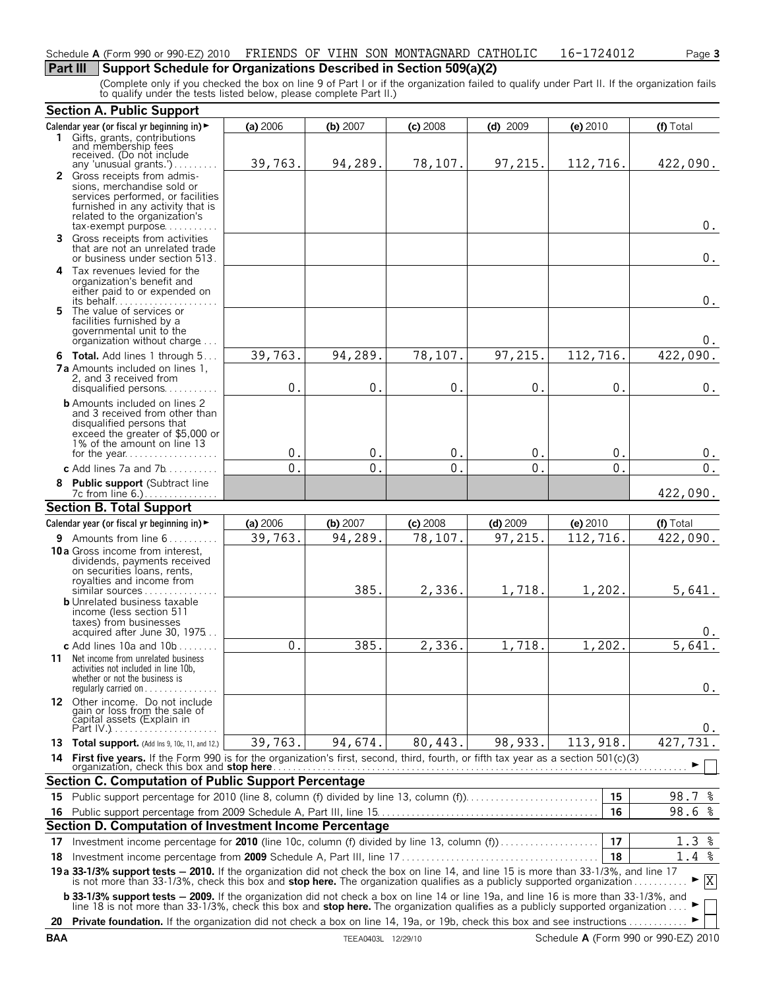#### Schedule **A** (Form 990 or 990-EZ) 2010 Page **3** FRIENDS OF VIHN SON MONTAGNARD CATHOLIC 16-1724012

### **Part III** Support Schedule for Organizations Described in Section 509(a)(2)

(Complete only if you checked the box on line 9 of Part I or if the organization failed to qualify under Part II. If the organization fails to qualify under the tests listed below, please complete Part II.)

|     | <b>Section A. Public Support</b>                                                                                                                                                                                                                                 |                |          |            |            |           |              |
|-----|------------------------------------------------------------------------------------------------------------------------------------------------------------------------------------------------------------------------------------------------------------------|----------------|----------|------------|------------|-----------|--------------|
|     | Calendar year (or fiscal yr beginning in) ►                                                                                                                                                                                                                      | (a) 2006       | (b) 2007 | $(c)$ 2008 | $(d)$ 2009 | (e) 2010  | (f) Total    |
|     | 1 Gifts, grants, contributions<br>and membership fees<br>received. (Do not include                                                                                                                                                                               |                |          |            |            |           |              |
|     |                                                                                                                                                                                                                                                                  |                |          |            |            |           |              |
|     | any 'unusual grants.')                                                                                                                                                                                                                                           | 39,763.        | 94,289.  | 78,107.    | 97,215.    | 112,716.  | 422,090.     |
|     | 2 Gross receipts from admis-<br>sions, merchandise sold or                                                                                                                                                                                                       |                |          |            |            |           |              |
|     | services performed, or facilities                                                                                                                                                                                                                                |                |          |            |            |           |              |
|     | furnished in any activity that is                                                                                                                                                                                                                                |                |          |            |            |           |              |
|     | related to the organization's<br>$tax\text{-}exempt$ purpose                                                                                                                                                                                                     |                |          |            |            |           | $0$ .        |
| 3.  | Gross receipts from activities                                                                                                                                                                                                                                   |                |          |            |            |           |              |
|     | that are not an unrelated trade                                                                                                                                                                                                                                  |                |          |            |            |           |              |
|     | or business under section 513.                                                                                                                                                                                                                                   |                |          |            |            |           | 0.           |
|     | 4 Tax revenues levied for the<br>organization's benefit and                                                                                                                                                                                                      |                |          |            |            |           |              |
|     | either paid to or expended on                                                                                                                                                                                                                                    |                |          |            |            |           |              |
|     |                                                                                                                                                                                                                                                                  |                |          |            |            |           | $0$ .        |
|     | 5 The value of services or<br>facilities furnished by a                                                                                                                                                                                                          |                |          |            |            |           |              |
|     | governmental unit to the                                                                                                                                                                                                                                         |                |          |            |            |           |              |
|     | organization without charge                                                                                                                                                                                                                                      |                |          |            |            |           | 0.           |
|     | 6 Total. Add lines 1 through 5                                                                                                                                                                                                                                   | 39,763.        | 94,289.  | 78,107.    | 97,215.    | 112,716.  | 422,090.     |
|     | <b>7a</b> Amounts included on lines 1.                                                                                                                                                                                                                           |                |          |            |            |           |              |
|     | 2, and 3 received from<br>disqualified persons                                                                                                                                                                                                                   | 0.             | 0.       | 0.         | 0.         | 0.        | $0$ .        |
|     | <b>b</b> Amounts included on lines 2                                                                                                                                                                                                                             |                |          |            |            |           |              |
|     | and 3 received from other than                                                                                                                                                                                                                                   |                |          |            |            |           |              |
|     | disqualified persons that                                                                                                                                                                                                                                        |                |          |            |            |           |              |
|     | exceed the greater of \$5,000 or<br>1% of the amount on line 13                                                                                                                                                                                                  |                |          |            |            |           |              |
|     |                                                                                                                                                                                                                                                                  | 0.             | 0.       | 0.         | 0.         | 0.        | $0$ .        |
|     | c Add lines $7a$ and $7b$                                                                                                                                                                                                                                        | 0.             | 0.       | 0.         | 0.         | 0.        | $0$ .        |
|     | 8 Public support (Subtract line                                                                                                                                                                                                                                  |                |          |            |            |           |              |
|     |                                                                                                                                                                                                                                                                  |                |          |            |            |           | 422,090.     |
|     | <b>Section B. Total Support</b>                                                                                                                                                                                                                                  |                |          |            |            |           |              |
|     | Calendar year (or fiscal yr beginning in) $\blacktriangleright$                                                                                                                                                                                                  | (a) 2006       | (b) 2007 | $(c)$ 2008 | $(d)$ 2009 | (e) 2010  | (f) Total    |
|     | 9 Amounts from line 6                                                                                                                                                                                                                                            | 39,763.        | 94,289.  | 78,107.    | 97,215.    | 112,716.  | 422,090.     |
|     | <b>10a</b> Gross income from interest,<br>dividends, payments received                                                                                                                                                                                           |                |          |            |            |           |              |
|     | on securities loans, rents,                                                                                                                                                                                                                                      |                |          |            |            |           |              |
|     | royalties and income from                                                                                                                                                                                                                                        |                |          |            |            |           |              |
|     | similar sources<br><b>b</b> Unrelated business taxable                                                                                                                                                                                                           |                | 385.     | 2,336.     | 1,718.     | 1,202.    | 5,641.       |
|     | income (less section 511                                                                                                                                                                                                                                         |                |          |            |            |           |              |
|     | taxes) from businesses                                                                                                                                                                                                                                           |                |          |            |            |           |              |
|     | acquired after June 30, 1975                                                                                                                                                                                                                                     |                |          |            |            |           | 0.           |
|     | c Add lines $10a$ and $10b$                                                                                                                                                                                                                                      | $\mathbf{0}$ . | 385.     | 2,336.     | 1,718.     | 1,202.    | 5,641        |
|     | 11 Net income from unrelated business<br>activities not included in line 10b,                                                                                                                                                                                    |                |          |            |            |           |              |
|     | whether or not the business is                                                                                                                                                                                                                                   |                |          |            |            |           |              |
|     | regularly carried on                                                                                                                                                                                                                                             |                |          |            |            |           | 0.           |
|     | 12 Other income. Do not include                                                                                                                                                                                                                                  |                |          |            |            |           |              |
|     | gain or loss from the sale of<br>capital assets (Explain in                                                                                                                                                                                                      |                |          |            |            |           |              |
|     |                                                                                                                                                                                                                                                                  |                |          |            |            |           | 0.           |
|     | 13 Total support. (Add Ins 9, 10c, 11, and 12.)                                                                                                                                                                                                                  | 39,763.        | 94,674.  | 80,443.    | 98, 933.   | 113, 918. | 731.<br>427, |
| 14  |                                                                                                                                                                                                                                                                  |                |          |            |            |           |              |
|     | <b>Section C. Computation of Public Support Percentage</b>                                                                                                                                                                                                       |                |          |            |            |           |              |
| 15. |                                                                                                                                                                                                                                                                  |                |          |            |            | 15        | 98.7 %       |
|     |                                                                                                                                                                                                                                                                  |                |          |            |            | 16        | 98.6%        |
|     | Section D. Computation of Investment Income Percentage                                                                                                                                                                                                           |                |          |            |            |           |              |
|     |                                                                                                                                                                                                                                                                  |                |          |            |            | 17        | 1.3%         |
| 17  | Investment income percentage for 2010 (line 10c, column (f) divided by line 13, column (f)                                                                                                                                                                       |                |          |            |            |           |              |
| 18  |                                                                                                                                                                                                                                                                  |                |          |            |            | 18        | 1.4%         |
|     | 19a 33-1/3% support tests - 2010. If the organization did not check the box on line 14, and line 15 is more than 33-1/3%, and line 17<br>is not more than 33-1/3%, check this box and stop here. The organization qualifies as a publicly supported organization |                |          |            |            |           | $\mathbf{X}$ |
|     |                                                                                                                                                                                                                                                                  |                |          |            |            |           |              |
|     | <b>b 33-1/3% support tests - 2009.</b> If the organization did not check a box on line 14 or line 19a, and line 16 is more than 33-1/3%, and line 18 is not more than 33-1/3%, check this box and <b>stop here.</b> The organization qua                         |                |          |            |            |           |              |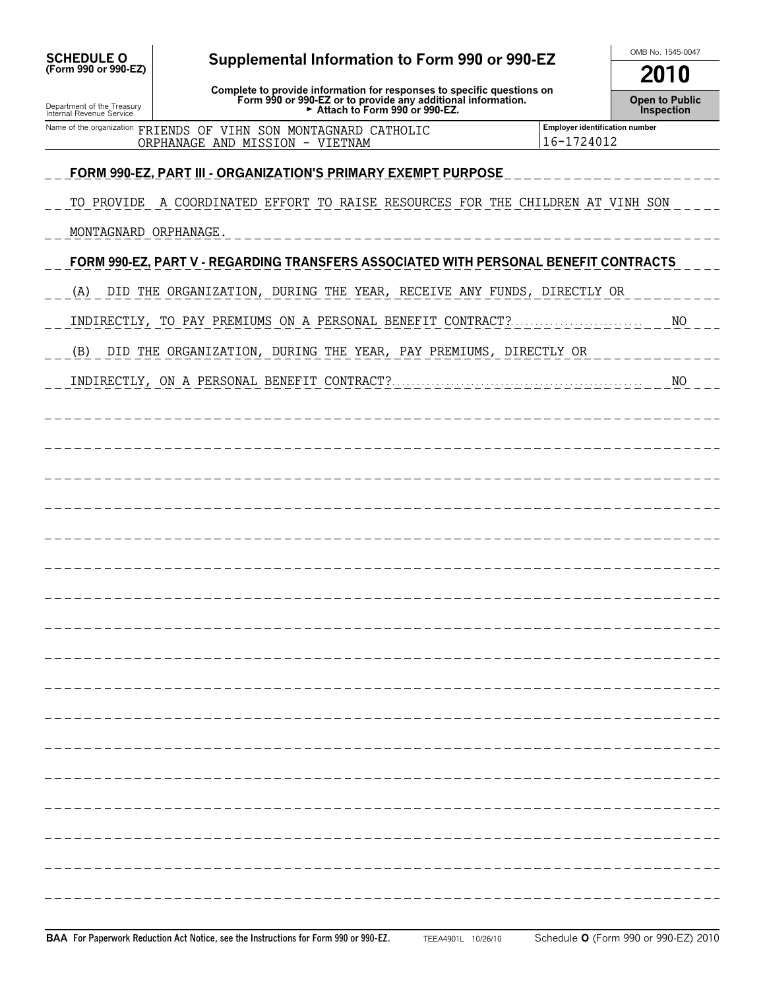| <b>SCHEDULE O</b>                                      | Supplemental Information to Form 990 or 990-EZ                                                                                                                           |                                              | OMB No. 1545-0047                          |  |  |
|--------------------------------------------------------|--------------------------------------------------------------------------------------------------------------------------------------------------------------------------|----------------------------------------------|--------------------------------------------|--|--|
| (Form 990 or 990-EZ)                                   |                                                                                                                                                                          |                                              | 2010                                       |  |  |
| Department of the Treasury<br>Internal Revenue Service | Complete to provide information for responses to specific questions on<br>Form 990 or 990-EZ or to provide any additional information.<br>Extract to Form 990 or 990-EZ. |                                              | <b>Open to Public</b><br><b>Inspection</b> |  |  |
|                                                        | Name of the organization FRIENDS OF VIHN SON MONTAGNARD CATHOLIC<br>ORPHANAGE AND MISSION - VIETNAM                                                                      | Employer identification number<br>16-1724012 |                                            |  |  |
|                                                        | <u>FORM 990-EZ, PART III - ORGANIZATION'S PRIMARY EXEMPT PURPOSE</u>                                                                                                     |                                              |                                            |  |  |
|                                                        | TO PROVIDE A COORDINATED EFFORT TO RAISE RESOURCES FOR THE CHILDREN AT VINH SON                                                                                          |                                              |                                            |  |  |
| MONTAGNARD ORPHANAGE.                                  |                                                                                                                                                                          |                                              |                                            |  |  |
|                                                        |                                                                                                                                                                          |                                              |                                            |  |  |
|                                                        | FORM 990-EZ, PART V - REGARDING TRANSFERS ASSOCIATED WITH PERSONAL BENEFIT CONTRACTS                                                                                     |                                              |                                            |  |  |
| (A)                                                    | DID THE ORGANIZATION, DURING THE YEAR, RECEIVE ANY FUNDS, DIRECTLY OR                                                                                                    |                                              |                                            |  |  |
|                                                        | INDIRECTLY, TO PAY PREMIUMS ON A PERSONAL BENEFIT CONTRACT?                                                                                                              |                                              | NO                                         |  |  |
| (B)                                                    | DID THE ORGANIZATION, DURING THE YEAR, PAY PREMIUMS, DIRECTLY OR                                                                                                         |                                              |                                            |  |  |
|                                                        |                                                                                                                                                                          |                                              | NO                                         |  |  |
|                                                        |                                                                                                                                                                          |                                              |                                            |  |  |
|                                                        |                                                                                                                                                                          |                                              |                                            |  |  |
|                                                        |                                                                                                                                                                          |                                              |                                            |  |  |
|                                                        |                                                                                                                                                                          |                                              |                                            |  |  |
|                                                        |                                                                                                                                                                          |                                              |                                            |  |  |
|                                                        |                                                                                                                                                                          |                                              |                                            |  |  |
|                                                        |                                                                                                                                                                          |                                              |                                            |  |  |
|                                                        |                                                                                                                                                                          |                                              |                                            |  |  |
|                                                        |                                                                                                                                                                          |                                              |                                            |  |  |
|                                                        |                                                                                                                                                                          |                                              |                                            |  |  |
|                                                        |                                                                                                                                                                          |                                              |                                            |  |  |
|                                                        |                                                                                                                                                                          |                                              |                                            |  |  |
|                                                        |                                                                                                                                                                          |                                              |                                            |  |  |
|                                                        |                                                                                                                                                                          |                                              |                                            |  |  |
|                                                        |                                                                                                                                                                          |                                              |                                            |  |  |
|                                                        |                                                                                                                                                                          |                                              |                                            |  |  |
|                                                        |                                                                                                                                                                          |                                              |                                            |  |  |
|                                                        |                                                                                                                                                                          |                                              |                                            |  |  |
|                                                        |                                                                                                                                                                          |                                              |                                            |  |  |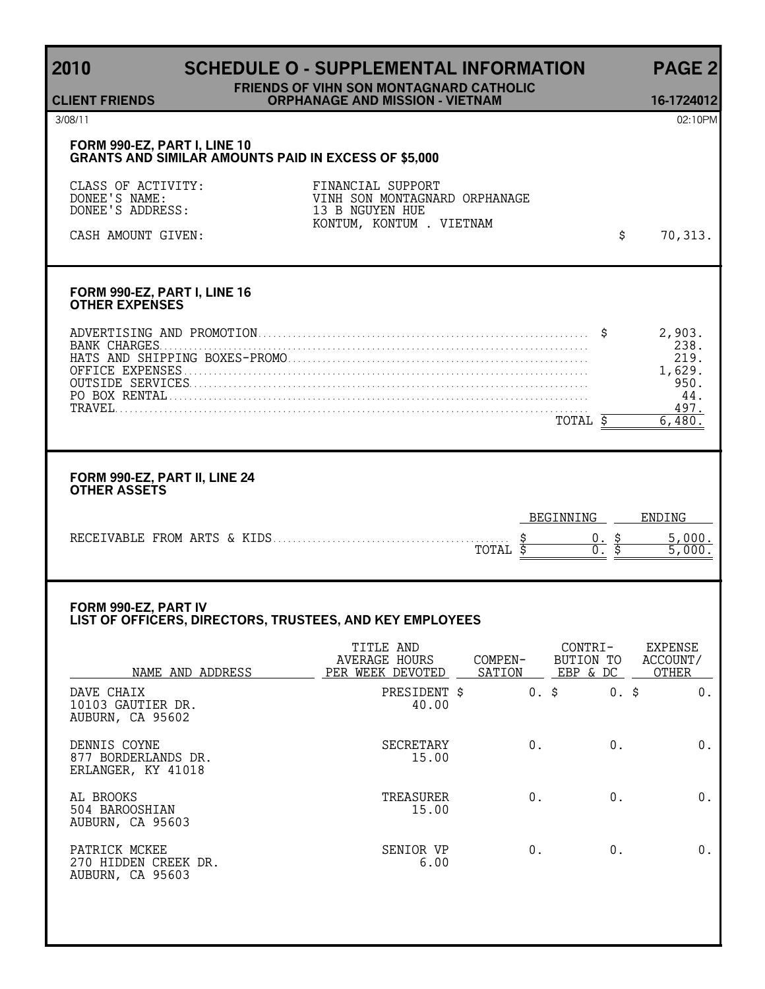# **2010 SCHEDULE O - SUPPLEMENTAL INFORMATION PAGE 2**

#### **FRIENDS OF VIHN SON MONTAGNARD CATHOLIC ORPHANAGE AND MISSION - VIETNAM 16-1724012**

**CLIENT FRIENDS**

#### **FORM 990-EZ, PART I, LINE 10 GRANTS AND SIMILAR AMOUNTS PAID IN EXCESS OF \$5,000**

| CLASS OF ACTIVITY:<br>DONEE'S NAME:<br>DONEE'S ADDRESS: | FINANCIAL SUPPORT<br>VINH SON MONTAGNARD ORPHANAGE<br>13 B NGUYEN HUE<br>KONTUM, KONTUM . VIETNAM |         |
|---------------------------------------------------------|---------------------------------------------------------------------------------------------------|---------|
| CASH AMOUNT GIVEN:                                      |                                                                                                   | 70,313. |

#### **FORM 990-EZ, PART I, LINE 16 OTHER EXPENSES**

| SING AND PROMO |  |
|----------------|--|
|                |  |
|                |  |
|                |  |
|                |  |
|                |  |
|                |  |

#### **FORM 990-EZ, PART II, LINE 24 OTHER ASSETS**

|                              |       | RFLI | "NNING | ENDING |
|------------------------------|-------|------|--------|--------|
| RECEIVABLE FROM ARTS & KIDS. | TOTAL |      |        |        |

#### **FORM 990-EZ, PART IV LIST OF OFFICERS, DIRECTORS, TRUSTEES, AND KEY EMPLOYEES**

| NAME AND ADDRESS                                          | TITLE AND<br><b>AVERAGE HOURS</b><br>PER WEEK DEVOTED | COMPEN-<br>SATION | CONTRI-<br>BUTION TO<br>EBP & DC | <b>EXPENSE</b><br>ACCOUNT/<br>OTHER |
|-----------------------------------------------------------|-------------------------------------------------------|-------------------|----------------------------------|-------------------------------------|
| DAVE CHAIX<br>10103 GAUTIER DR.<br>AUBURN, CA 95602       | PRESIDENT \$<br>40.00                                 | $0.$ \$           | $0.$ \$                          | 0.                                  |
| DENNIS COYNE<br>877 BORDERLANDS DR.<br>ERLANGER, KY 41018 | SECRETARY<br>15.00                                    | 0.                | $0$ .                            | 0.                                  |
| AL BROOKS<br>504 BAROOSHIAN<br>AUBURN, CA 95603           | TREASURER<br>15.00                                    | 0.                | 0.                               | 0.                                  |
| PATRICK MCKEE<br>270 HIDDEN CREEK DR.<br>AUBURN, CA 95603 | SENIOR VP<br>6.00                                     | 0.                | 0.                               | 0.                                  |

3/08/11 02:10PM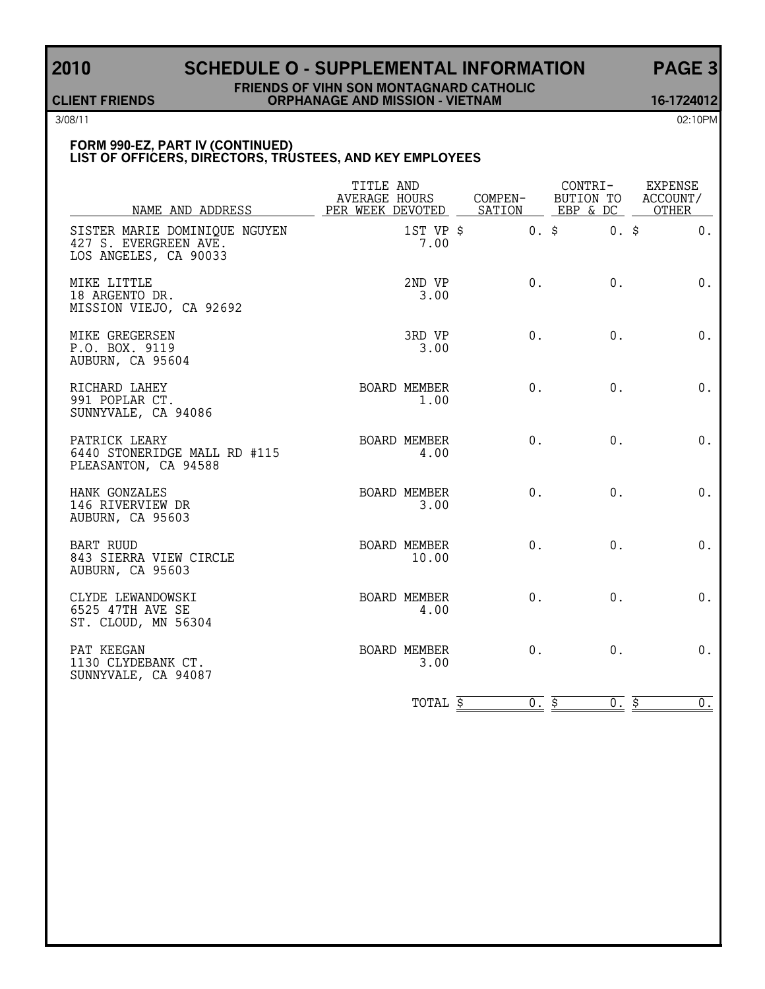## **2010 SCHEDULE O - SUPPLEMENTAL INFORMATION PAGE 3**

#### **FRIENDS OF VIHN SON MONTAGNARD CATHOLIC CLIENT FRIENDS ORPHANAGE AND MISSION - VIETNAM 16-1724012**

3/08/11 02:10PM

#### **FORM 990-EZ, PART IV (CONTINUED) LIST OF OFFICERS, DIRECTORS, TRUSTEES, AND KEY EMPLOYEES**

| NAME AND ADDRESS                                                                | TITLE AND<br>AVERAGE HOURS |                       | COMPEN-<br>PER WEEK DEVOTED SATION EBP & DC OTHER | CONTRI- | EXPENSE<br>BUTION TO ACCOUNT/ |
|---------------------------------------------------------------------------------|----------------------------|-----------------------|---------------------------------------------------|---------|-------------------------------|
| SISTER MARIE DOMINIQUE NGUYEN<br>427 S. EVERGREEN AVE.<br>LOS ANGELES, CA 90033 |                            | 1ST VP \$<br>7.00     | $0.$ \$                                           | $0.$ \$ | 0.                            |
| MIKE LITTLE<br>18 ARGENTO DR.<br>MISSION VIEJO, CA 92692                        |                            | 2ND VP<br>3.00        | 0.                                                | $0$ .   | $0$ .                         |
| MIKE GREGERSEN<br>P.O. BOX. 9119<br>AUBURN, CA 95604                            |                            | 3RD VP<br>3.00        | $0$ .                                             | $0$ .   | 0.                            |
| RICHARD LAHEY<br>991 POPLAR CT.<br>SUNNYVALE, CA 94086                          |                            | BOARD MEMBER<br>1.00  | 0.                                                | $0$ .   | $0$ .                         |
| PATRICK LEARY<br>6440 STONERIDGE MALL RD #115<br>PLEASANTON, CA 94588           |                            | BOARD MEMBER<br>4.00  | 0.                                                | 0.      | $0$ .                         |
| HANK GONZALES<br>146 RIVERVIEW DR<br>AUBURN, CA 95603                           |                            | BOARD MEMBER<br>3.00  | $0$ .                                             | $0$ .   | 0.                            |
| <b>BART RUUD</b><br>843 SIERRA VIEW CIRCLE<br>AUBURN, CA 95603                  |                            | BOARD MEMBER<br>10.00 | $0$ .                                             | $0$ .   | 0.                            |
| CLYDE LEWANDOWSKI<br>6525 47TH AVE SE<br>ST. CLOUD, MN 56304                    |                            | BOARD MEMBER<br>4.00  | 0.                                                | $0$ .   | 0.                            |
| PAT KEEGAN<br>1130 CLYDEBANK CT.<br>SUNNYVALE, CA 94087                         |                            | BOARD MEMBER<br>3.00  | $0$ .                                             | $0$ .   | 0.                            |
|                                                                                 |                            | TOTAL \$              | 0.5                                               | 0.5     | $\overline{0}$ .              |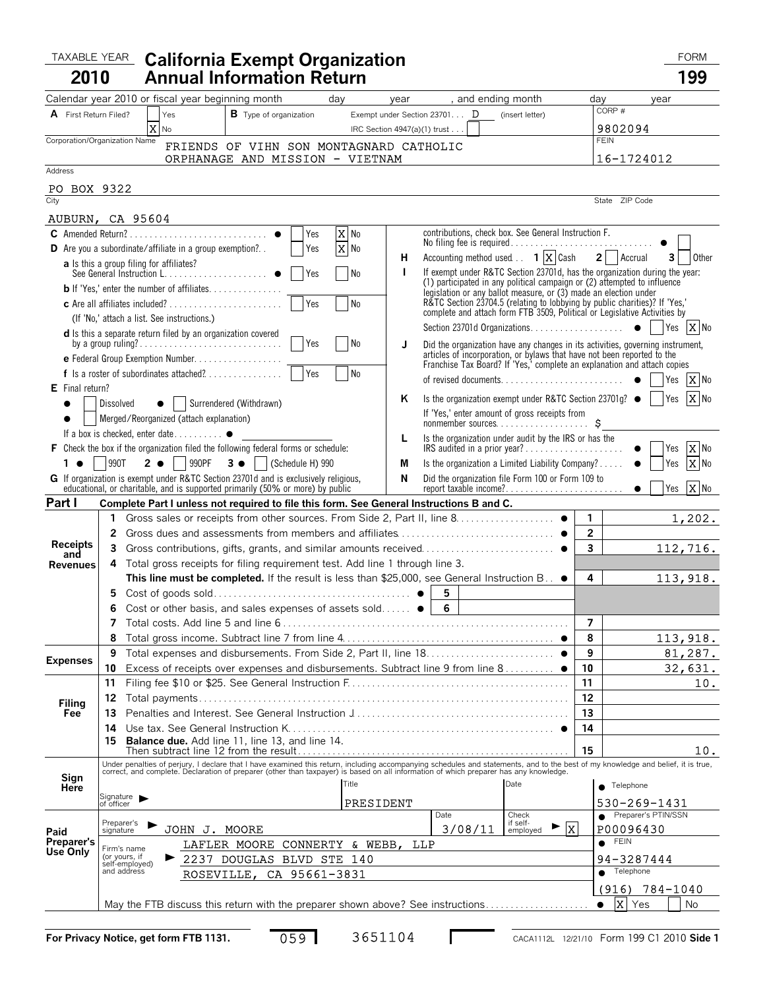#### TAXABLE YEAR California Exempt Organization **Taxable Year California 2010 California Exempt Organization Annual Information Return 199**

| I |  |
|---|--|

| A First Return Filed?         |                         | Calendar year 2010 or fiscal year beginning month<br>, and ending month<br>day<br>year<br>Yes<br><b>B</b> Type of organization<br>Exempt under Section 23701 $\mathbf D$<br>(insert letter)                                    | dav                     | CORP#          | vear                |
|-------------------------------|-------------------------|--------------------------------------------------------------------------------------------------------------------------------------------------------------------------------------------------------------------------------|-------------------------|----------------|---------------------|
|                               |                         | X<br>IRC Section 4947(a)(1) trust<br>No                                                                                                                                                                                        |                         | 9802094        |                     |
| Corporation/Organization Name |                         | FRIENDS OF VIHN SON MONTAGNARD CATHOLIC                                                                                                                                                                                        |                         | <b>FEIN</b>    |                     |
|                               |                         | ORPHANAGE AND MISSION - VIETNAM                                                                                                                                                                                                |                         | 16-1724012     |                     |
| Address                       |                         |                                                                                                                                                                                                                                |                         |                |                     |
| BOX 9322<br>PO.               |                         |                                                                                                                                                                                                                                |                         |                |                     |
| City                          |                         |                                                                                                                                                                                                                                |                         | State ZIP Code |                     |
| AUBURN, CA 95604              |                         |                                                                                                                                                                                                                                |                         |                |                     |
|                               |                         | X No<br>contributions, check box. See General Instruction F.<br>Yes<br>No filing fee is required                                                                                                                               |                         |                |                     |
|                               |                         | X No<br><b>D</b> Are you a subordinate/affiliate in a group exemption?<br>Yes<br>Accounting method used $\ldots$ 1 $\lfloor x \rfloor$ Cash<br>н                                                                               |                         | 2 Accrual      | 31<br>Other         |
|                               |                         | <b>a</b> Is this a group filing for affiliates?<br>If exempt under R&TC Section 23701d, has the organization during the year:<br>I.<br>Yes<br>l No                                                                             |                         |                |                     |
|                               |                         | (1) participated in any political campaign or (2) attempted to influence<br><b>b</b> If 'Yes,' enter the number of affiliates                                                                                                  |                         |                |                     |
|                               |                         | legislation or any ballot measure, or (3) made an election under<br>R&TC Section 23704.5 (relating to lobbying by public charities)? If 'Yes,'<br>N <sub>o</sub><br>Yes                                                        |                         |                |                     |
|                               |                         | complete and attach form FTB 3509, Political or Legislative Activities by<br>(If 'No,' attach a list. See instructions.)                                                                                                       |                         |                |                     |
|                               |                         | <b>d</b> Is this a separate return filed by an organization covered                                                                                                                                                            |                         |                |                     |
|                               |                         | I No<br>Yes<br>J<br>Did the organization have any changes in its activities, governing instrument,                                                                                                                             |                         |                |                     |
|                               |                         | articles of incorporation, or bylaws that have not been reported to the<br>e Federal Group Exemption Number<br>Franchise Tax Board? If 'Yes,' complete an explanation and attach copies                                        |                         |                |                     |
|                               |                         | <b>No</b><br>f Is a roster of subordinates attached?<br>Yes                                                                                                                                                                    |                         |                | X No<br>Yes         |
| $E$ Final return?             |                         | Is the organization exempt under R&TC Section 23701g? $\bullet$  <br>ĸ                                                                                                                                                         |                         |                | X No<br>Yes         |
|                               | Dissolved               | Surrendered (Withdrawn)<br>If 'Yes,' enter amount of gross receipts from                                                                                                                                                       |                         |                |                     |
|                               |                         | Merged/Reorganized (attach explanation)                                                                                                                                                                                        |                         |                |                     |
|                               |                         | If a box is checked, enter date $\bullet$<br>Is the organization under audit by the IRS or has the<br>L<br>F Check the box if the organization filed the following federal forms or schedule:<br>IRS audited in a prior year?  |                         |                | X No<br>Yes         |
| $1 \bullet$                   | 990T                    | 2 <b>0</b> 990PF<br>$3 \bullet$ (Schedule H) 990<br>Is the organization a Limited Liability Company?<br>M                                                                                                                      |                         |                | X No<br>Yes         |
|                               |                         | N<br>G If organization is exempt under R&TC Section 23701d and is exclusively religious,<br>Did the organization file Form 100 or Form 109 to                                                                                  |                         |                |                     |
|                               |                         | educational, or charitable, and is supported primarily (50% or more) by public<br>report taxable income?                                                                                                                       |                         | $\bullet$      | X No<br>Yes         |
| Part I                        |                         | Complete Part I unless not required to file this form. See General Instructions B and C.                                                                                                                                       |                         |                |                     |
|                               | 1                       |                                                                                                                                                                                                                                | $\mathbf{1}$            |                | 1,202.              |
|                               | 2                       |                                                                                                                                                                                                                                | $\overline{\mathbf{c}}$ |                |                     |
| <b>Receipts</b><br>and        | 3                       |                                                                                                                                                                                                                                | $\overline{\mathbf{3}}$ |                | 112,716.            |
| <b>Revenues</b>               | 4                       | Total gross receipts for filing requirement test. Add line 1 through line 3.                                                                                                                                                   |                         |                |                     |
|                               |                         | This line must be completed. If the result is less than \$25,000, see General Instruction B. . ●                                                                                                                               | 4                       |                | 113,918.            |
|                               | 5                       | 5<br>$6\phantom{1}$                                                                                                                                                                                                            |                         |                |                     |
|                               | 6<br>7                  | Cost or other basis, and sales expenses of assets sold $\bullet$                                                                                                                                                               | $\overline{7}$          |                |                     |
|                               | 8                       |                                                                                                                                                                                                                                | 8                       |                | 113,918.            |
|                               | 9                       |                                                                                                                                                                                                                                | 9                       |                | 81,287.             |
| <b>Expenses</b>               | 10                      | Excess of receipts over expenses and disbursements. Subtract line 9 from line 8 ●                                                                                                                                              | 10                      |                | 32,631.             |
|                               | 11                      |                                                                                                                                                                                                                                | 11                      |                | 10.                 |
|                               | 12                      |                                                                                                                                                                                                                                | 12                      |                |                     |
| Filing<br>Fee                 | 13                      |                                                                                                                                                                                                                                | 13                      |                |                     |
|                               | 14                      |                                                                                                                                                                                                                                | 14                      |                |                     |
|                               | 15                      | Balance due. Add line 11, line 13, and line 14.                                                                                                                                                                                | 15                      |                | 10.                 |
|                               |                         | Under penalties of perjury, I declare that I have examined this return, including accompanying schedules and statements, and to the best of my knowledge and belief, it is true, correct, and complete. Declaration of prepare |                         |                |                     |
| Sign                          |                         | Title<br>Date                                                                                                                                                                                                                  |                         |                |                     |
| Here                          |                         | Signature >                                                                                                                                                                                                                    |                         | Telephone      |                     |
|                               | of officer              | PRESIDENT<br>Date<br>Check                                                                                                                                                                                                     |                         | 530-269-1431   | Preparer's PTIN/SSN |
|                               | Preparer's<br>signature | if self-<br>$\blacktriangleright$  X<br>3/08/11<br>JOHN J. MOORE<br>employed                                                                                                                                                   |                         | P00096430      |                     |
| Paid<br>Preparer's            |                         | LAFLER MOORE CONNERTY & WEBB,<br>LLP                                                                                                                                                                                           | $\bullet$               | <b>FEIN</b>    |                     |
| Use Only                      |                         | Firm's name<br>(or yours, if<br>2237 DOUGLAS BLVD STE 140                                                                                                                                                                      |                         | 94-3287444     |                     |
|                               |                         | self-employed)<br>and address<br>ROSEVILLE, CA 95661-3831                                                                                                                                                                      |                         | Telephone      |                     |
|                               |                         |                                                                                                                                                                                                                                |                         |                | $(916) 784 - 1040$  |
|                               |                         | May the FTB discuss this return with the preparer shown above? See instructions                                                                                                                                                | $\bullet$               | X Yes          | No.                 |

| $0.59$ $\blacksquare$ | 3651104 |
|-----------------------|---------|
|                       |         |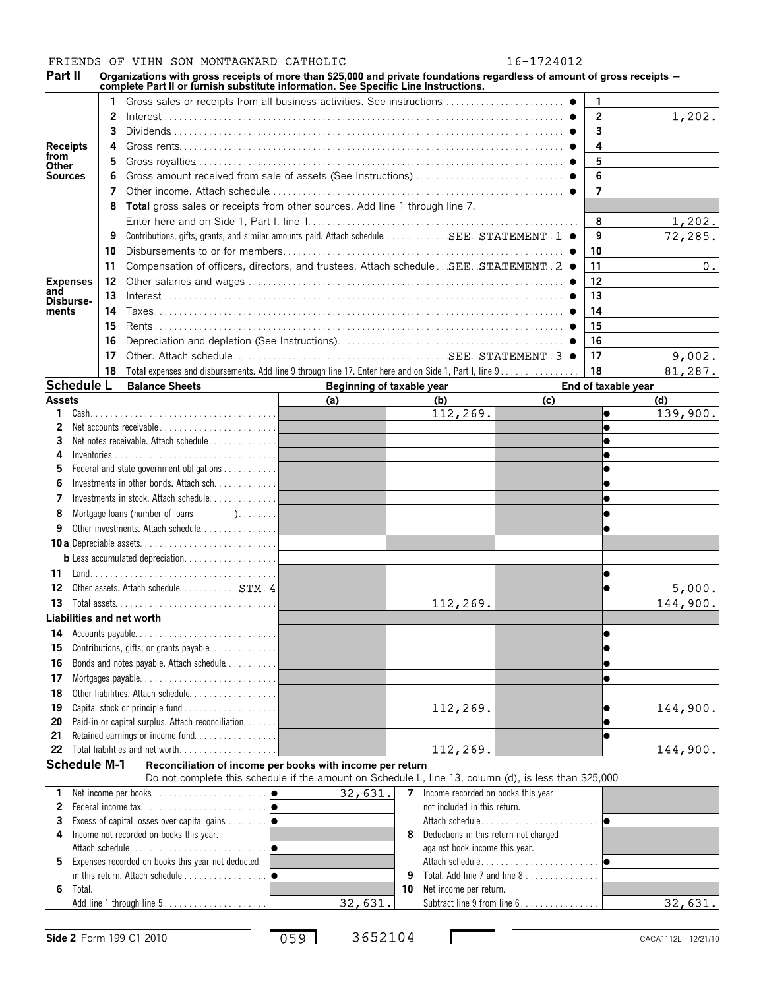#### FRIENDS OF VIHN SON MONTAGNARD CATHOLIC 16-1724012

Part II Organizations with gross receipts of more than \$25,000 and private foundations regardless of amount of gross receipts –<br>complete Part II or furnish substitute information. See Specific Line Instructions.

|                         |        |    | complete Part II or furnish substitute information. See Specific Line Instructions.                     |                           |                                                      |                              |                     |          |
|-------------------------|--------|----|---------------------------------------------------------------------------------------------------------|---------------------------|------------------------------------------------------|------------------------------|---------------------|----------|
|                         |        | 1  |                                                                                                         |                           |                                                      |                              | 1.                  |          |
|                         |        | 2  |                                                                                                         |                           |                                                      |                              | $\overline{2}$      | 1,202.   |
|                         |        | 3  |                                                                                                         |                           |                                                      |                              | 3                   |          |
| <b>Receipts</b>         |        | 4  |                                                                                                         |                           |                                                      |                              | 4                   |          |
| from                    |        | 5  |                                                                                                         |                           |                                                      |                              | 5                   |          |
| Other<br><b>Sources</b> |        | 6  |                                                                                                         |                           |                                                      |                              | 6                   |          |
|                         |        | 7  |                                                                                                         |                           |                                                      |                              | 7                   |          |
|                         |        |    | Total gross sales or receipts from other sources. Add line 1 through line 7.                            |                           |                                                      |                              |                     |          |
|                         |        | 8  |                                                                                                         |                           |                                                      |                              |                     |          |
|                         |        |    |                                                                                                         |                           |                                                      |                              | 8                   | 1,202.   |
|                         |        | 9  | Contributions, gifts, grants, and similar amounts paid. Attach schedule. SEE. . STATEMENT. 1 ●          |                           |                                                      |                              | 9                   | 72, 285. |
|                         |        | 10 |                                                                                                         |                           |                                                      |                              | 10                  |          |
|                         |        | 11 | Compensation of officers, directors, and trustees. Attach schedule SEE. STATEMENT . 2 ●                 |                           |                                                      |                              | 11                  | 0.       |
| <b>Expenses</b><br>and  |        | 12 |                                                                                                         |                           |                                                      |                              | 12                  |          |
| Disburse-               |        | 13 |                                                                                                         |                           |                                                      |                              | 13                  |          |
| ments                   |        | 14 |                                                                                                         |                           |                                                      |                              | 14                  |          |
|                         |        | 15 |                                                                                                         |                           |                                                      |                              | 15                  |          |
|                         |        | 16 |                                                                                                         |                           |                                                      |                              | 16                  |          |
|                         |        | 17 |                                                                                                         |                           |                                                      |                              | 17                  | 9,002.   |
|                         |        | 18 | Total expenses and disbursements. Add line 9 through line 17. Enter here and on Side 1, Part I, line 9. |                           |                                                      |                              | 18                  | 81,287.  |
| <b>Schedule L</b>       |        |    | <b>Balance Sheets</b>                                                                                   | Beginning of taxable year |                                                      |                              | End of taxable year |          |
| <b>Assets</b>           |        |    |                                                                                                         | (a)                       | (b)                                                  | (c)                          |                     | (d)      |
| 1                       |        |    |                                                                                                         |                           | 112,269.                                             |                              | $\bullet$           | 139,900. |
| 2                       |        |    | Net accounts receivable                                                                                 |                           |                                                      |                              | $\bullet$           |          |
| 3                       |        |    | Net notes receivable. Attach schedule                                                                   |                           |                                                      |                              |                     |          |
| 4                       |        |    |                                                                                                         |                           |                                                      |                              |                     |          |
| 5                       |        |    | Federal and state government obligations                                                                |                           |                                                      |                              |                     |          |
| 6                       |        |    | Investments in other bonds. Attach sch. 1                                                               |                           |                                                      |                              | $\bullet$           |          |
| 7                       |        |    | Investments in stock. Attach schedule                                                                   |                           |                                                      |                              | $\bullet$           |          |
| 8                       |        |    | Mortgage loans (number of loans )                                                                       |                           |                                                      |                              | $\bullet$           |          |
| 9                       |        |    | Other investments. Attach schedule                                                                      |                           |                                                      |                              | $\bullet$           |          |
|                         |        |    |                                                                                                         |                           |                                                      |                              |                     |          |
|                         |        |    |                                                                                                         |                           |                                                      |                              |                     |          |
| 11                      |        |    |                                                                                                         |                           |                                                      |                              | $\bullet$           |          |
| 12                      |        |    | Other assets. Attach schedule. STM . 4                                                                  |                           |                                                      |                              | $\bullet$           | 5,000.   |
| 13                      |        |    |                                                                                                         |                           | 112,269.                                             |                              |                     | 144,900. |
|                         |        |    | Liabilities and net worth                                                                               |                           |                                                      |                              |                     |          |
|                         |        |    | 14 Accounts payable                                                                                     |                           |                                                      |                              | $\bullet$           |          |
| 15                      |        |    | Contributions, gifts, or grants payable.                                                                |                           |                                                      |                              | $\bullet$           |          |
| 16                      |        |    | Bonds and notes payable. Attach schedule                                                                |                           |                                                      |                              | $\bullet$           |          |
| 17                      |        |    |                                                                                                         |                           |                                                      |                              | $\bullet$           |          |
| 18                      |        |    | Other liabilities. Attach schedule                                                                      |                           |                                                      |                              |                     |          |
| 19                      |        |    |                                                                                                         |                           | 112,269.                                             |                              | $\bullet$           | 144,900. |
| 20                      |        |    | Paid-in or capital surplus. Attach reconciliation.                                                      |                           |                                                      |                              | $\bullet$           |          |
| 21                      |        |    |                                                                                                         |                           |                                                      |                              | $\bullet$           |          |
| 22                      |        |    |                                                                                                         |                           | 112,269.                                             |                              |                     | 144,900. |
| <b>Schedule M-1</b>     |        |    | Reconciliation of income per books with income per return                                               |                           |                                                      |                              |                     |          |
|                         |        |    | Do not complete this schedule if the amount on Schedule L, line 13, column (d), is less than \$25,000   |                           |                                                      |                              |                     |          |
| 1.                      |        |    |                                                                                                         | 32,631.                   | Income recorded on books this year<br>$\overline{7}$ |                              |                     |          |
| 2                       |        |    |                                                                                                         |                           | not included in this return.                         |                              |                     |          |
| 3                       |        |    |                                                                                                         |                           |                                                      |                              |                     |          |
| 4                       |        |    | Income not recorded on books this year.                                                                 |                           | Deductions in this return not charged<br>8           |                              |                     |          |
|                         |        |    |                                                                                                         |                           | against book income this year.                       |                              |                     |          |
| 5                       |        |    | Expenses recorded on books this year not deducted                                                       |                           |                                                      |                              |                     |          |
|                         |        |    |                                                                                                         |                           | 9                                                    | Total. Add line 7 and line 8 |                     |          |
| 6                       | Total. |    |                                                                                                         |                           | Net income per return.<br>10                         |                              |                     |          |
|                         |        |    | Add line 1 through line 5                                                                               | 32,631.                   |                                                      | Subtract line 9 from line 6. |                     | 32,631.  |

059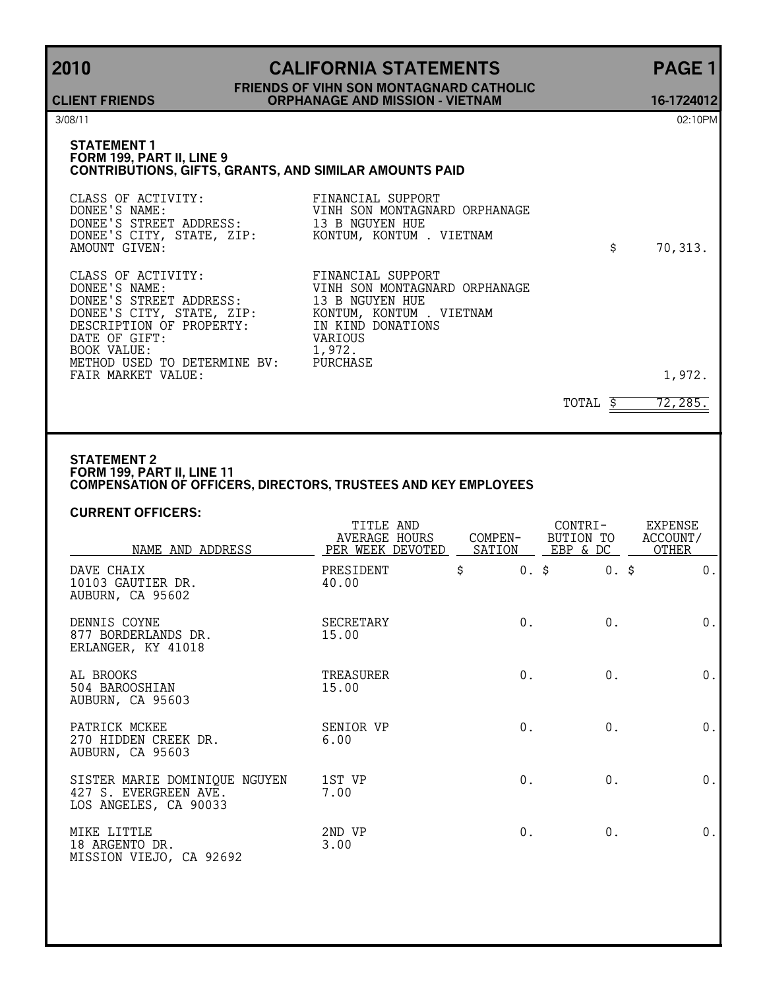### **2010 CALIFORNIA STATEMENTS PAGE 1 FRIENDS OF VIHN SON MONTAGNARD CATHOLIC ORPHANAGE AND MISSION - VIETNAM 16-1724012**

**CLIENT FRIENDS**

3/08/11 02:10PM

#### **STATEMENT 1 FORM 199, PART II, LINE 9 CONTRIBUTIONS, GIFTS, GRANTS, AND SIMILAR AMOUNTS PAID**

| CLASS OF ACTIVITY:<br>DONEE'S NAME:<br>DONEE'S STREET ADDRESS: 13 B NGUYEN HUE<br>DONEE'S CITY, STATE, ZIP: KONTUM, KONTUM . VIETNAM<br>AMOUNT GIVEN:                                                                                                                             | FINANCIAL SUPPORT<br>VINH SON MONTAGNARD ORPHANAGE                      | \$<br>70,313. |
|-----------------------------------------------------------------------------------------------------------------------------------------------------------------------------------------------------------------------------------------------------------------------------------|-------------------------------------------------------------------------|---------------|
| CLASS OF ACTIVITY:<br>DONEE'S NAME:<br>DONEE'S STREET ADDRESS: 13 B NGUYEN HUE<br>DONEE'S CITY, STATE, ZIP: KONTUM, KONTUM . VIETNAM<br>DESCRIPTION OF PROPERTY: IN KIND DONATIONS<br>DATE OF GIFT:<br>BOOK VALUE:<br>METHOD USED TO DETERMINE BV: PURCHASE<br>FAIR MARKET VALUE: | FINANCIAL SUPPORT<br>VINH SON MONTAGNARD ORPHANAGE<br>VARIOUS<br>1,972. | 1,972.        |

#### TOTAL  $\frac{2}{5}$  72,285.

#### **STATEMENT 2 FORM 199, PART II, LINE 11 COMPENSATION OF OFFICERS, DIRECTORS, TRUSTEES AND KEY EMPLOYEES**

#### **CURRENT OFFICERS:**

| NAME AND ADDRESS                                                                | TITLE AND<br>AVERAGE HOURS<br>PER WEEK DEVOTED | COMPEN- | CONTRI-<br>BUTION TO<br>SATION EBP & DC | <b>EXPENSE</b><br>ACCOUNT/<br>OTHER |
|---------------------------------------------------------------------------------|------------------------------------------------|---------|-----------------------------------------|-------------------------------------|
| DAVE CHAIX<br>10103 GAUTIER DR.<br>AUBURN, CA 95602                             | PRESIDENT<br>40.00                             | \$      | $0.$ \$<br>$0.$ \$                      | $0$ .                               |
| DENNIS COYNE<br>877 BORDERLANDS DR.<br>ERLANGER, KY 41018                       | SECRETARY<br>15.00                             | $0$ .   | $0$ .                                   | $0$ .                               |
| AL BROOKS<br>504 BAROOSHIAN<br>AUBURN, CA 95603                                 | TREASURER<br>15.00                             | $0$ .   | $0$ .                                   | $0$ .                               |
| PATRICK MCKEE<br>270 HIDDEN CREEK DR.<br>AUBURN, CA 95603                       | SENIOR VP<br>6.00                              | $0$ .   | 0.                                      | 0.                                  |
| SISTER MARIE DOMINIQUE NGUYEN<br>427 S. EVERGREEN AVE.<br>LOS ANGELES, CA 90033 | 1ST VP<br>7.00                                 | 0.      | 0.                                      | 0.                                  |
| MIKE LITTLE<br>18 ARGENTO DR.<br>MISSION VIEJO, CA 92692                        | 2ND VP<br>3.00                                 | 0.      | 0.                                      | 0.                                  |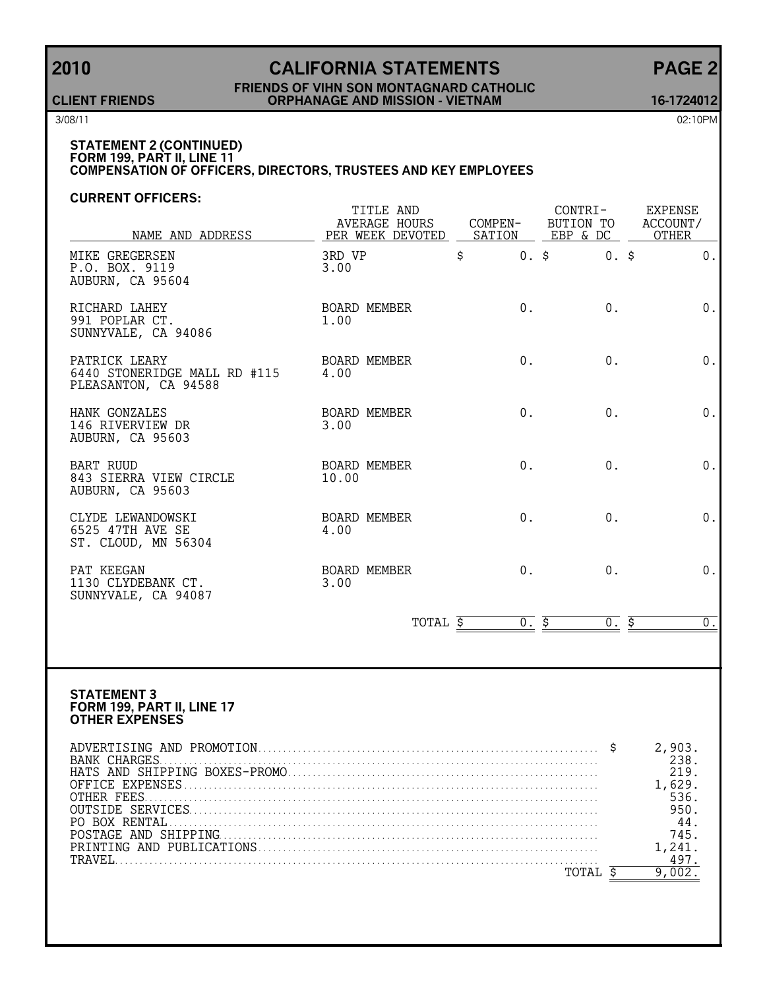# **2010 CALIFORNIA STATEMENTS PAGE 2**

#### **FRIENDS OF VIHN SON MONTAGNARD CATHOLIC CLIENT FRIENDS ORPHANAGE AND MISSION - VIETNAM 16-1724012**

3/08/11 02:10PM

#### **STATEMENT 2 (CONTINUED) FORM 199, PART II, LINE 11 COMPENSATION OF OFFICERS, DIRECTORS, TRUSTEES AND KEY EMPLOYEES**

#### **CURRENT OFFICERS:**

| NAME AND ADDRESS                                                      | TITLE AND<br>AVERAGE HOURS<br>PER WEEK DEVOTED SATION EBP & DC |       | CONTRI-<br>COMPEN- BUTION TO ACCOUNT/ | EXPENSE<br>OTHER |
|-----------------------------------------------------------------------|----------------------------------------------------------------|-------|---------------------------------------|------------------|
| MIKE GREGERSEN<br>P.O. BOX. 9119<br>AUBURN, CA 95604                  | 3RD VP<br>3.00                                                 | \$    | $0.$ \$<br>$0.$ \$                    | $0$ .            |
| RICHARD LAHEY<br>991 POPLAR CT.<br>SUNNYVALE, CA 94086                | BOARD MEMBER<br>1.00                                           | $0$ . | 0.                                    | $0$ .            |
| PATRICK LEARY<br>6440 STONERIDGE MALL RD #115<br>PLEASANTON, CA 94588 | BOARD MEMBER<br>4.00                                           | $0$ . | $0$ .                                 | $0$ .            |
| HANK GONZALES<br>146 RIVERVIEW DR<br>AUBURN, CA 95603                 | BOARD MEMBER<br>3.00                                           | $0$ . | $0$ .                                 | $0$ .            |
| BART RUUD<br>843 SIERRA VIEW CIRCLE<br>AUBURN, CA 95603               | BOARD MEMBER<br>10.00                                          | $0$ . | 0.                                    | $0$ .            |
| CLYDE LEWANDOWSKI<br>6525 47TH AVE SE<br>ST. CLOUD, MN 56304          | BOARD MEMBER<br>4.00                                           | $0$ . | 0.                                    | 0.               |
| PAT KEEGAN<br>1130 CLYDEBANK CT.<br>SUNNYVALE, CA 94087               | BOARD MEMBER<br>3.00                                           | $0$ . | $0$ .                                 | 0.               |
|                                                                       | TOTAL \$                                                       | 0.5   | <u>ō. \$</u>                          | $\overline{0}$ . |

#### **STATEMENT 3 FORM 199, PART II, LINE 17 OTHER EXPENSES**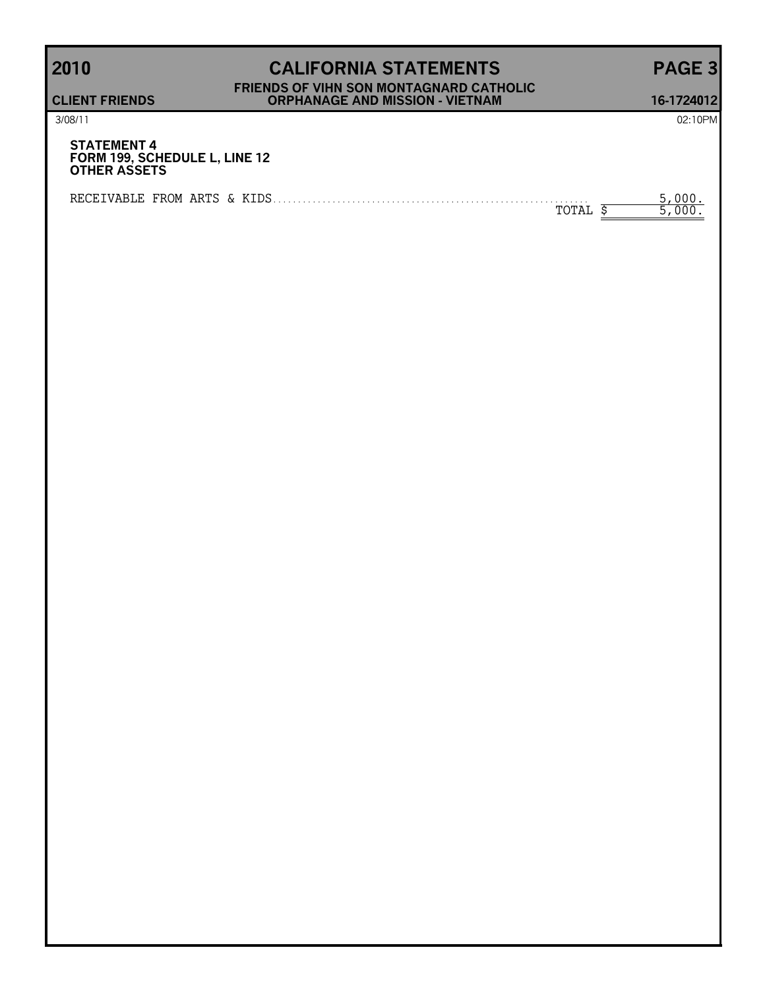### **2010 CALIFORNIA STATEMENTS PAGE 3 FRIENDS OF VIHN SON MONTAGNARD CATHOLIC CLIENT FRIENDS ORPHANAGE AND MISSION - VIETNAM 16-1724012**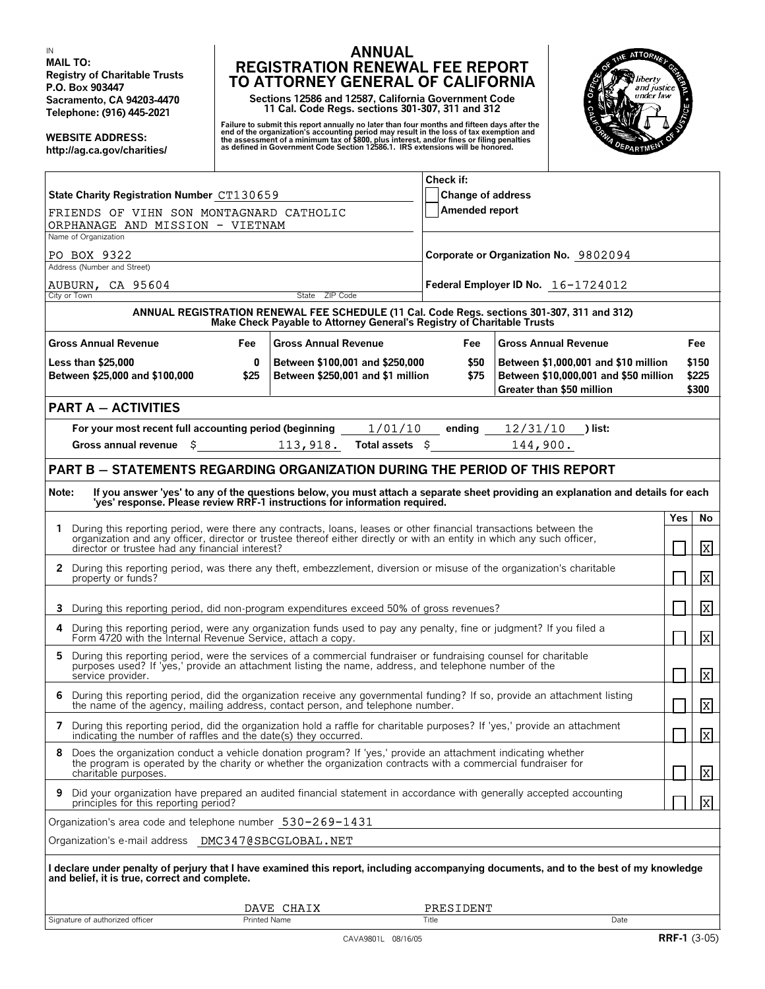IN **MAIL TO: Registry of Charitable Trusts P.O. Box 903447 Sacramento, CA 94203-4470 Telephone: (916) 445-2021**

**WEBSITE ADDRESS: http://ag.ca.gov/charities/**

#### **ANNUAL REGISTRATION RENEWAL FEE REPORT TO ATTORNEY GENERAL OF CALIFORNIA**

**Sections 12586 and 12587, California Government Code 11 Cal. Code Regs. sections 301-307, 311 and 312**

Failure to submit this report annually no later than four months and fifteen days after the<br>end of the organization's accounting period may result in the loss of tax exemption and<br>the assessment of a minimum tax of \$800, p



|                                                                                                                                                                                                                                                            |                                                                                                                                                                       | Check if:                                  |                                       |     |                         |
|------------------------------------------------------------------------------------------------------------------------------------------------------------------------------------------------------------------------------------------------------------|-----------------------------------------------------------------------------------------------------------------------------------------------------------------------|--------------------------------------------|---------------------------------------|-----|-------------------------|
| State Charity Registration Number CT130659                                                                                                                                                                                                                 |                                                                                                                                                                       | <b>Change of address</b><br>Amended report |                                       |     |                         |
| FRIENDS OF VIHN SON MONTAGNARD CATHOLIC<br>ORPHANAGE AND MISSION - VIETNAM                                                                                                                                                                                 |                                                                                                                                                                       |                                            |                                       |     |                         |
| Name of Organization                                                                                                                                                                                                                                       |                                                                                                                                                                       |                                            |                                       |     |                         |
| PO BOX 9322<br>Address (Number and Street)                                                                                                                                                                                                                 |                                                                                                                                                                       |                                            | Corporate or Organization No. 9802094 |     |                         |
|                                                                                                                                                                                                                                                            |                                                                                                                                                                       |                                            |                                       |     |                         |
| AUBURN, CA 95604<br>City or Town                                                                                                                                                                                                                           | State ZIP Code                                                                                                                                                        |                                            | Federal Employer ID No. 16-1724012    |     |                         |
|                                                                                                                                                                                                                                                            | ANNUAL REGISTRATION RENEWAL FEE SCHEDULE (11 Cal. Code Regs. sections 301-307, 311 and 312)<br>Make Check Payable to Attorney General's Registry of Charitable Trusts |                                            |                                       |     |                         |
| <b>Gross Annual Revenue</b><br>Fee                                                                                                                                                                                                                         | <b>Gross Annual Revenue</b>                                                                                                                                           | Fee                                        | <b>Gross Annual Revenue</b>           |     | Fee                     |
| <b>Less than \$25,000</b><br>0                                                                                                                                                                                                                             | Between \$100,001 and \$250,000                                                                                                                                       | \$50                                       | Between \$1,000,001 and \$10 million  |     | \$150                   |
| Between \$25,000 and \$100,000<br>\$25                                                                                                                                                                                                                     | Between \$250,001 and \$1 million                                                                                                                                     | \$75                                       | Between \$10,000,001 and \$50 million |     | \$225                   |
|                                                                                                                                                                                                                                                            |                                                                                                                                                                       |                                            | Greater than \$50 million             |     | \$300                   |
| <b>PART A - ACTIVITIES</b>                                                                                                                                                                                                                                 |                                                                                                                                                                       |                                            |                                       |     |                         |
| For your most recent full accounting period (beginning                                                                                                                                                                                                     | 1/01/10                                                                                                                                                               | ending                                     | 12/31/10<br>) list:                   |     |                         |
| Gross annual revenue $\,$ \$ 113,918.                                                                                                                                                                                                                      | Total assets \$                                                                                                                                                       |                                            | 144,900.                              |     |                         |
| <b>PART B - STATEMENTS REGARDING ORGANIZATION DURING THE PERIOD OF THIS REPORT</b>                                                                                                                                                                         |                                                                                                                                                                       |                                            |                                       |     |                         |
|                                                                                                                                                                                                                                                            |                                                                                                                                                                       |                                            |                                       |     |                         |
| Note:<br>If you answer 'yes' to any of the questions below, you must attach a separate sheet providing an explanation and details for each<br>'yes' response. Please review RRF-1 instructions for information required.                                   |                                                                                                                                                                       |                                            |                                       |     |                         |
|                                                                                                                                                                                                                                                            |                                                                                                                                                                       |                                            |                                       | Yes | No                      |
| 1 During this reporting period, were there any contracts, loans, leases or other financial transactions between the<br>organization and any officer, director or trustee thereof either directly or with an entity in which any such officer,              |                                                                                                                                                                       |                                            |                                       |     |                         |
| director or trustee had any financial interest?                                                                                                                                                                                                            |                                                                                                                                                                       |                                            |                                       |     | X                       |
| 2 During this reporting period, was there any theft, embezzlement, diversion or misuse of the organization's charitable<br>property or funds?                                                                                                              |                                                                                                                                                                       |                                            |                                       |     | 冈                       |
| 3 During this reporting period, did non-program expenditures exceed 50% of gross revenues?                                                                                                                                                                 |                                                                                                                                                                       |                                            |                                       |     | 冈                       |
| During this reporting period, were any organization funds used to pay any penalty, fine or judgment? If you filed a<br>Form 4720 with the Internal Revenue Service, attach a copy.                                                                         |                                                                                                                                                                       |                                            |                                       |     | $\overline{\mathbf{x}}$ |
| During this reporting period, were the services of a commercial fundraiser or fundraising counsel for charitable<br>5<br>purposes used? If 'yes,' provide an attachment listing the name, address, and telephone number of the<br>service provider.        |                                                                                                                                                                       |                                            |                                       |     | 冈                       |
| During this reporting period, did the organization receive any governmental funding? If so, provide an attachment listing the name of the agency, mailing address, contact person, and telephone number.<br>6                                              |                                                                                                                                                                       |                                            |                                       |     | 冈                       |
| 7 During this reporting period, did the organization hold a raffle for charitable purposes? If 'yes,' provide an attachment<br>indicating the number of raffles and the date(s) they occurred.                                                             |                                                                                                                                                                       |                                            |                                       |     | <u> x </u>              |
| Does the organization conduct a vehicle donation program? If 'yes,' provide an attachment indicating whether<br>8<br>the program is operated by the charity or whether the organization contracts with a commercial fundraiser for<br>charitable purposes. |                                                                                                                                                                       |                                            |                                       |     | X                       |
| Did your organization have prepared an audited financial statement in accordance with generally accepted accounting<br>9<br>principles for this reporting period?                                                                                          |                                                                                                                                                                       |                                            |                                       |     | $\mathbf{x}$            |
| Organization's area code and telephone number 530-269-1431                                                                                                                                                                                                 |                                                                                                                                                                       |                                            |                                       |     |                         |
| Organization's e-mail address  DMC347@SBCGLOBAL.NET                                                                                                                                                                                                        |                                                                                                                                                                       |                                            |                                       |     |                         |
|                                                                                                                                                                                                                                                            |                                                                                                                                                                       |                                            |                                       |     |                         |
| I declare under penalty of perjury that I have examined this report, including accompanying documents, and to the best of my knowledge<br>and belief, it is true, correct and complete.                                                                    |                                                                                                                                                                       |                                            |                                       |     |                         |
|                                                                                                                                                                                                                                                            | DAVE CHAIX                                                                                                                                                            | PRESIDENT                                  |                                       |     |                         |
| Signature of authorized officer<br>Printed Name                                                                                                                                                                                                            |                                                                                                                                                                       | Title                                      | Date                                  |     |                         |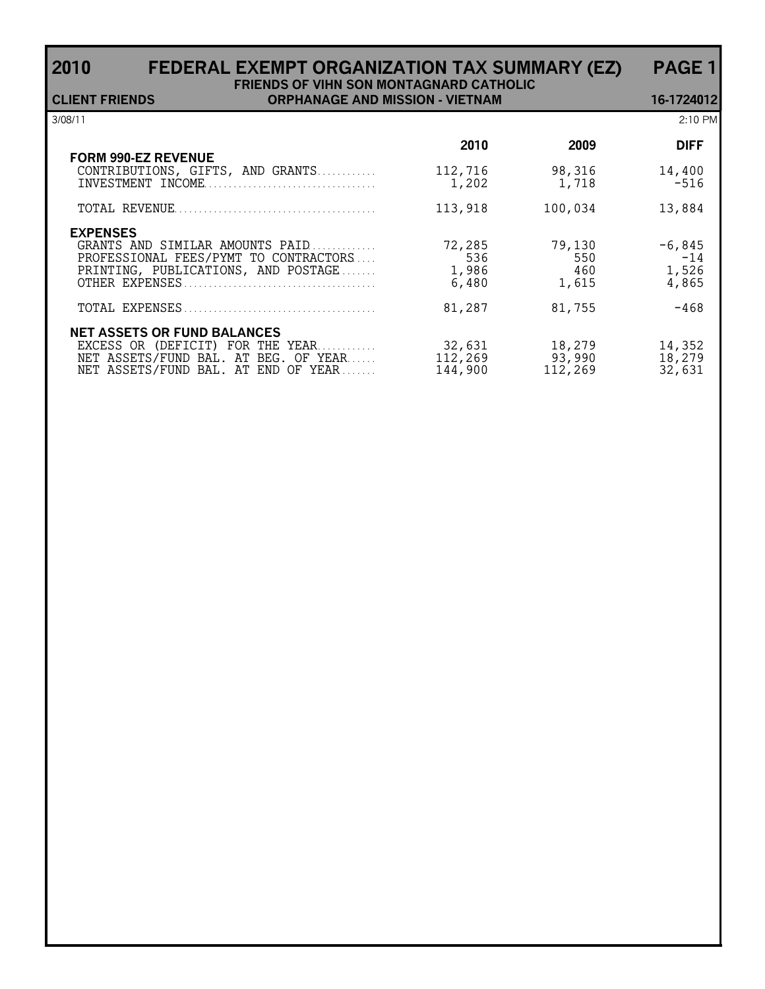### **2010 FEDERAL EXEMPT ORGANIZATION TAX SUMMARY (EZ) PAGE 1 FRIENDS OF VIHN SON MONTAGNARD CATHOLIC**

| <b>CLIENT FRIENDS</b>                                                                                                                                 | <b>ORPHANAGE AND MISSION - VIETNAM</b> |                                           |                                         | 16-1724012                                    |
|-------------------------------------------------------------------------------------------------------------------------------------------------------|----------------------------------------|-------------------------------------------|-----------------------------------------|-----------------------------------------------|
| 3/08/11                                                                                                                                               |                                        |                                           |                                         | $2:10$ PM                                     |
|                                                                                                                                                       |                                        | 2010                                      | 2009                                    | <b>DIFF</b>                                   |
| <b>FORM 990-EZ REVENUE</b><br>CONTRIBUTIONS, GIFTS, AND GRANTS                                                                                        |                                        | 112,716<br>1,202                          | 98,316<br>1,718                         | 14,400<br>$-516$                              |
|                                                                                                                                                       |                                        | 113,918                                   | 100,034                                 | 13,884                                        |
| <b>EXPENSES</b><br>GRANTS AND SIMILAR AMOUNTS PAID<br>PROFESSIONAL FEES/PYMT TO CONTRACTORS<br>PRINTING, PUBLICATIONS, AND POSTAGE                    |                                        | 72,285<br>536<br>1,986<br>6,480<br>81,287 | 79,130<br>550<br>460<br>1,615<br>81,755 | $-6,845$<br>$-14$<br>1,526<br>4,865<br>$-468$ |
| <b>NET ASSETS OR FUND BALANCES</b><br>EXCESS OR (DEFICIT) FOR THE YEAR<br>NET ASSETS/FUND BAL. AT BEG. OF YEAR<br>NET ASSETS/FUND BAL. AT END OF YEAR |                                        | 32,631<br>112,269<br>144,900              | 18,279<br>93,990<br>112,269             | 14,352<br>18,279<br>32,631                    |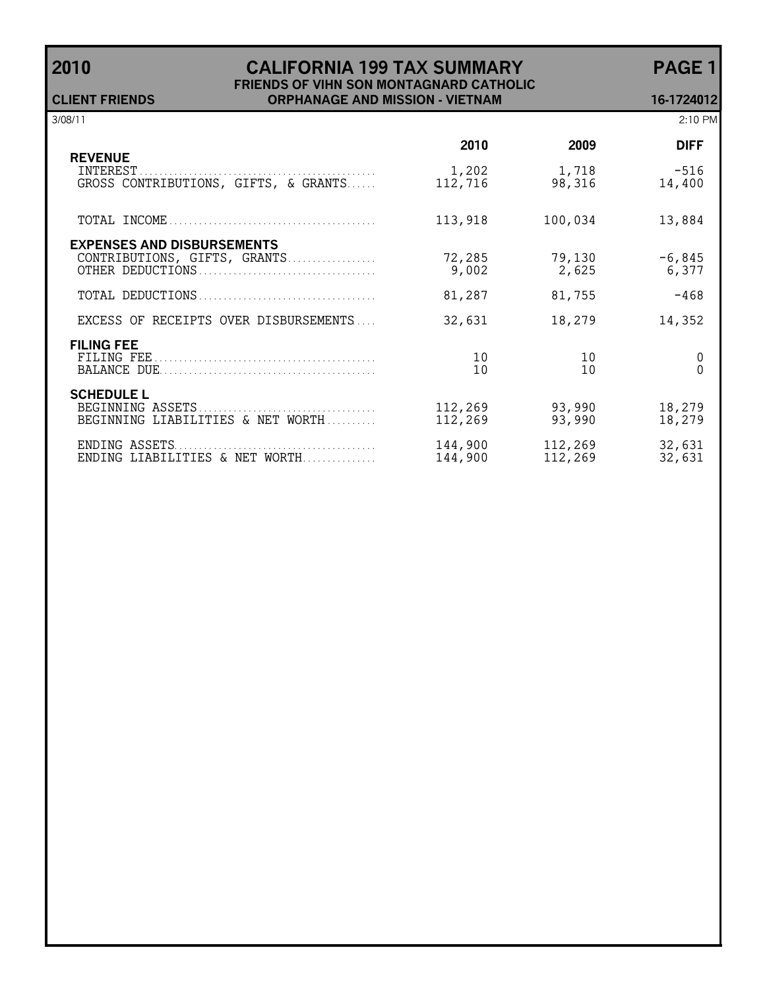### **2010 CALIFORNIA 199 TAX SUMMARY PAGE 1 FRIENDS OF VIHN SON MONTAGNARD CATHOLIC CLIENT FRIENDS ORPHANAGE AND MISSION - VIETNAM 16-1724012**

| 3/08/11                                                            |                    |                    | 2:10 PM           |
|--------------------------------------------------------------------|--------------------|--------------------|-------------------|
|                                                                    | 2010               | 2009               | <b>DIFF</b>       |
| <b>REVENUE</b><br>INTEREST<br>GROSS CONTRIBUTIONS, GIFTS, & GRANTS | 1,202<br>112,716   | 1,718<br>98,316    | $-516$<br>14,400  |
|                                                                    | 113,918            | 100,034            | 13,884            |
| <b>EXPENSES AND DISBURSEMENTS</b><br>CONTRIBUTIONS, GIFTS, GRANTS  | 72,285<br>9,002    | 79,130<br>2,625    | $-6,845$<br>6,377 |
|                                                                    | 81,287             | 81,755             | $-468$            |
| EXCESS OF RECEIPTS OVER DISBURSEMENTS                              | 32,631             | 18,279             | 14,352            |
| <b>FILING FEE</b>                                                  | 10<br>10           | 10<br>10           | 0                 |
| <b>SCHEDULE L</b><br>BEGINNING LIABILITIES & NET WORTH             | 112,269<br>112,269 | 93,990<br>93,990   | 18,279<br>18,279  |
| ENDING LIABILITIES & NET WORTH                                     | 144,900<br>144,900 | 112,269<br>112,269 | 32,631<br>32,631  |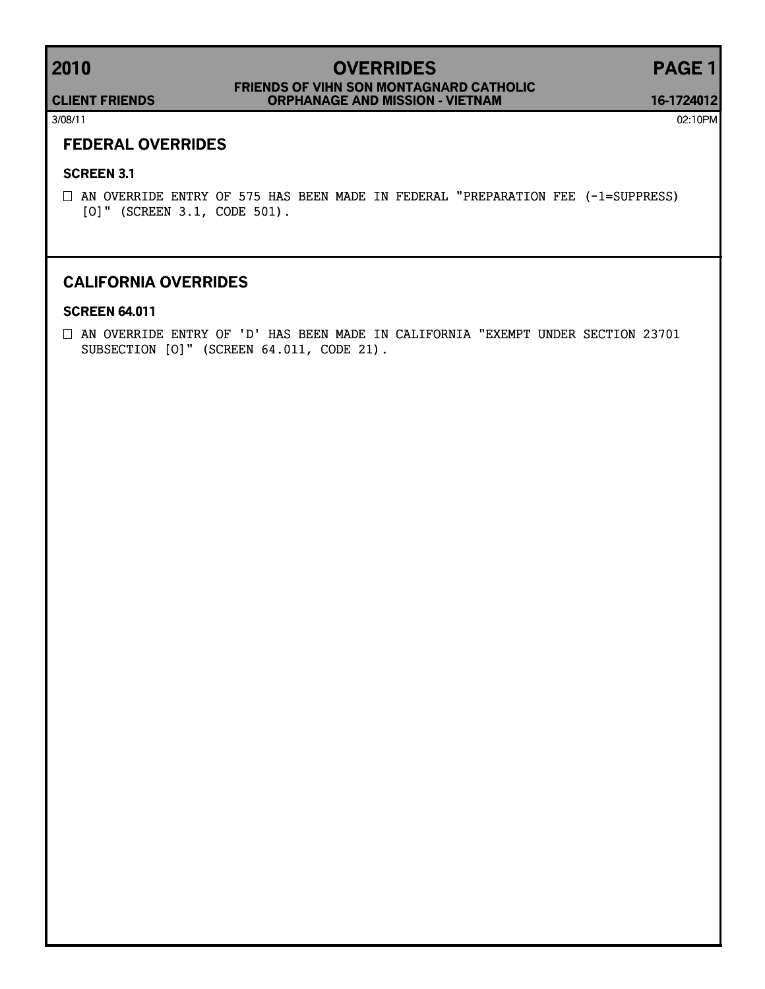# **2010 OVERRIDES PAGE 1**

### **CLIENT FRIENDS ORPHANAGE AND MISSION - VIETNAM FRIENDS OF VIHN SON MONTAGNARD CATHOLIC**

**16-1724012**

3/08/11 02:10PM

### **FEDERAL OVERRIDES**

#### **SCREEN 3.1**

 $\square$  AN OVERRIDE ENTRY OF 575 HAS BEEN MADE IN FEDERAL "PREPARATION FEE (-1=SUPPRESS) [O]" (SCREEN 3.1, CODE 501).

### **CALIFORNIA OVERRIDES**

### **SCREEN 64.011**

 $\square$  AN OVERRIDE ENTRY OF 'D' HAS BEEN MADE IN CALIFORNIA "EXEMPT UNDER SECTION 23701 SUBSECTION [O]" (SCREEN 64.011, CODE 21).